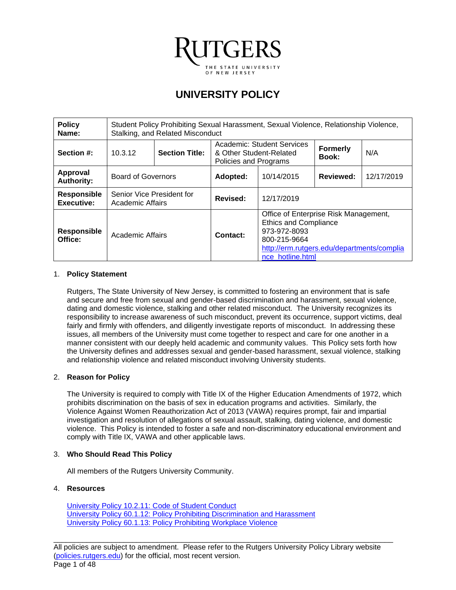

# **UNIVERSITY POLICY**

| <b>Policy</b><br>Name:                  | Student Policy Prohibiting Sexual Harassment, Sexual Violence, Relationship Violence,<br>Stalking, and Related Misconduct |                       |                                                  |                                                                                                                                                                         |                          |            |
|-----------------------------------------|---------------------------------------------------------------------------------------------------------------------------|-----------------------|--------------------------------------------------|-------------------------------------------------------------------------------------------------------------------------------------------------------------------------|--------------------------|------------|
| Section #:                              | 10.3.12                                                                                                                   | <b>Section Title:</b> | & Other Student-Related<br>Policies and Programs | Academic: Student Services                                                                                                                                              | <b>Formerly</b><br>Book: | N/A        |
| Approval<br><b>Authority:</b>           | <b>Board of Governors</b>                                                                                                 |                       | Adopted:                                         | 10/14/2015                                                                                                                                                              | <b>Reviewed:</b>         | 12/17/2019 |
| <b>Responsible</b><br><b>Executive:</b> | Senior Vice President for<br>Academic Affairs                                                                             |                       | Revised:                                         | 12/17/2019                                                                                                                                                              |                          |            |
| <b>Responsible</b><br>Office:           | Academic Affairs                                                                                                          |                       | Contact:                                         | Office of Enterprise Risk Management,<br><b>Ethics and Compliance</b><br>973-972-8093<br>800-215-9664<br>http://erm.rutgers.edu/departments/complia<br>nce hotline.html |                          |            |

#### 1. **Policy Statement**

Rutgers, The State University of New Jersey, is committed to fostering an environment that is safe and secure and free from sexual and gender-based discrimination and harassment, sexual violence, dating and domestic violence, stalking and other related misconduct. The University recognizes its responsibility to increase awareness of such misconduct, prevent its occurrence, support victims, deal fairly and firmly with offenders, and diligently investigate reports of misconduct. In addressing these issues, all members of the University must come together to respect and care for one another in a manner consistent with our deeply held academic and community values. This Policy sets forth how the University defines and addresses sexual and gender-based harassment, sexual violence, stalking and relationship violence and related misconduct involving University students.

# 2. **Reason for Policy**

The University is required to comply with Title IX of the Higher Education Amendments of 1972, which prohibits discrimination on the basis of sex in education programs and activities. Similarly, the Violence Against Women Reauthorization Act of 2013 (VAWA) requires prompt, fair and impartial investigation and resolution of allegations of sexual assault, stalking, dating violence, and domestic violence. This Policy is intended to foster a safe and non-discriminatory educational environment and comply with Title IX, VAWA and other applicable laws.

# 3. **Who Should Read This Policy**

All members of the Rutgers University Community.

### 4. **Resources**

University Policy 10.2.11: [Code of Student Conduct](https://policies.rutgers.edu/10211-currentpdf) University Policy 60.1.12: Policy Prohibiting [Discrimination and Harassment](https://policies.rutgers.edu/60112-currentpdf) University Policy 60.1.13: [Policy Prohibiting Workplace](https://policies.rutgers.edu/60113-currentpdf) Violence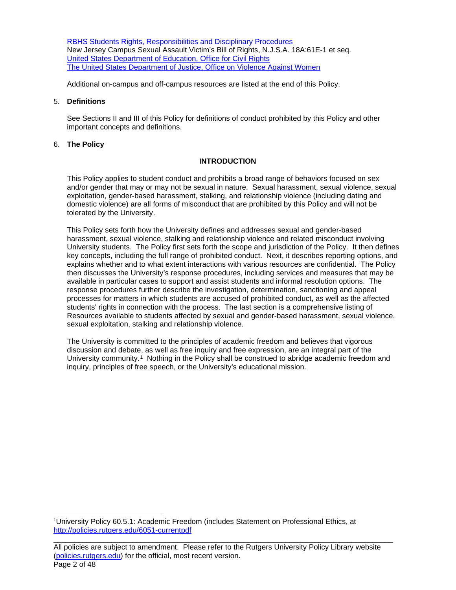RBHS Students [Rights, Responsibilities and Disciplinary Procedures](https://academicaffairs.rutgers.edu/files/rbhs-chancellor-policystudents-rights-responsibilities-and-disciplinary-procedures-61913pdf) New Jersey Campus Sexual Assault Victim's Bill of Rights, N.J.S.A. 18A:61E-1 et seq. United States [Department of Education, Office for Civil Rights](http://www.ed.gov/ocr) The United States [Department of Justice, Office on Violence Against Women](https://www.justice.gov/ovw)

Additional on-campus and off-campus resources are listed at the end of this Policy.

#### 5. **Definitions**

See Sections II and III of this Policy for definitions of conduct prohibited by this Policy and other important concepts and definitions.

#### 6. **The Policy**

#### **INTRODUCTION**

This Policy applies to student conduct and prohibits a broad range of behaviors focused on sex and/or gender that may or may not be sexual in nature. Sexual harassment, sexual violence, sexual exploitation, gender-based harassment, stalking, and relationship violence (including dating and domestic violence) are all forms of misconduct that are prohibited by this Policy and will not be tolerated by the University.

This Policy sets forth how the University defines and addresses sexual and gender-based harassment, sexual violence, stalking and relationship violence and related misconduct involving University students. The Policy first sets forth the scope and jurisdiction of the Policy. It then defines key concepts, including the full range of prohibited conduct. Next, it describes reporting options, and explains whether and to what extent interactions with various resources are confidential. The Policy then discusses the University's response procedures, including services and measures that may be available in particular cases to support and assist students and informal resolution options. The response procedures further describe the investigation, determination, sanctioning and appeal processes for matters in which students are accused of prohibited conduct, as well as the affected students' rights in connection with the process. The last section is a comprehensive listing of Resources available to students affected by sexual and gender-based harassment, sexual violence, sexual exploitation, stalking and relationship violence.

The University is committed to the principles of academic freedom and believes that vigorous discussion and debate, as well as free inquiry and free expression, are an integral part of the University community.<sup>1</sup> Nothing in the Policy shall be construed to abridge academic freedom and inquiry, principles of free speech, or the University's educational mission.

<span id="page-1-0"></span><sup>&</sup>lt;sup>1</sup>University Policy 60.5.1: Academic Freedom (includes Statement on Professional Ethics, at <http://policies.rutgers.edu/6051-currentpdf>

\_\_\_\_\_\_\_\_\_\_\_\_\_\_\_\_\_\_\_\_\_\_\_\_\_\_\_\_\_\_\_\_\_\_\_\_\_\_\_\_\_\_\_\_\_\_\_\_\_\_\_\_\_\_\_\_\_\_\_\_\_\_\_\_\_\_\_\_\_\_\_\_\_\_\_\_\_\_\_\_\_\_ All policies are subject to amendment. Please refer to the Rutgers University Policy Library website [\(policies.rutgers.edu\)](https://policies.rutgers.edu/) for the official, most recent version. Page 2 of 48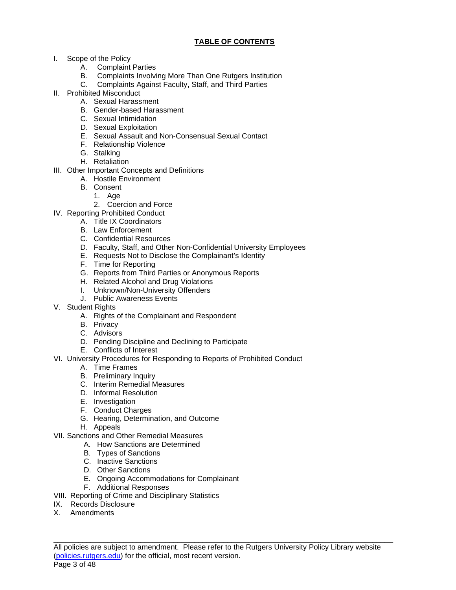# **TABLE OF CONTENTS**

- I. Scope of the Policy
	- A. Complaint Parties
	- B. Complaints Involving More Than One Rutgers Institution
	- C. Complaints Against Faculty, Staff, and Third Parties
- II. Prohibited Misconduct
	- A. Sexual Harassment
	- B. Gender-based Harassment
	- C. Sexual Intimidation
	- D. Sexual Exploitation
	- E. Sexual Assault and Non-Consensual Sexual Contact
	- F. Relationship Violence
	- G. Stalking
	- H. Retaliation
- III. Other Important Concepts and Definitions
	- A. Hostile Environment
		- B. Consent
			- 1. Age
			- 2. Coercion and Force
- IV. Reporting Prohibited Conduct
	- A. Title IX Coordinators
	- B. Law Enforcement
	- C. Confidential Resources
	- D. Faculty, Staff, and Other Non-Confidential University Employees
	- E. Requests Not to Disclose the Complainant's Identity
	- F. Time for Reporting
	- G. Reports from Third Parties or Anonymous Reports
	- H. Related Alcohol and Drug Violations
	- I. Unknown/Non-University Offenders
	- J. Public Awareness Events
- V. Student Rights
	- A. Rights of the Complainant and Respondent
	- B. Privacy
	- C. Advisors
	- D. Pending Discipline and Declining to Participate
	- E. Conflicts of Interest
- VI. University Procedures for Responding to Reports of Prohibited Conduct
	- A. Time Frames
	- B. Preliminary Inquiry
	- C. Interim Remedial Measures
	- D. Informal Resolution
	- E. Investigation
	- F. Conduct Charges
	- G. Hearing, Determination, and Outcome
	- H. Appeals
- VII. Sanctions and Other Remedial Measures
	- A. How Sanctions are Determined
	- B. Types of Sanctions
	- C. Inactive Sanctions
	- D. Other Sanctions
	- E. Ongoing Accommodations for Complainant
	- F. Additional Responses
- VIII. Reporting of Crime and Disciplinary Statistics
- IX. Records Disclosure
- X. Amendments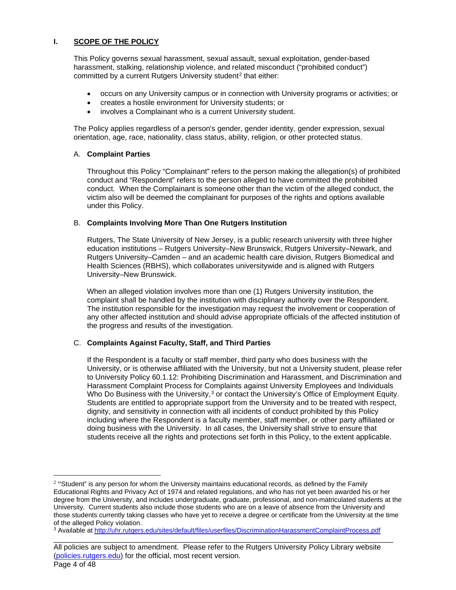# **I. SCOPE OF THE POLICY**

This Policy governs sexual harassment, sexual assault, sexual exploitation, gender-based harassment, stalking, relationship violence, and related misconduct ("prohibited conduct") committed by a current Rutgers University student<sup>[2](#page-3-0)</sup> that either:

- occurs on any University campus or in connection with University programs or activities; or
- creates a hostile environment for University students; or
- involves a Complainant who is a current University student.

The Policy applies regardless of a person's gender, gender identity, gender expression, sexual orientation, age, race, nationality, class status, ability, religion, or other protected status.

#### A. **Complaint Parties**

Throughout this Policy "Complainant" refers to the person making the allegation(s) of prohibited conduct and "Respondent" refers to the person alleged to have committed the prohibited conduct. When the Complainant is someone other than the victim of the alleged conduct, the victim also will be deemed the complainant for purposes of the rights and options available under this Policy.

#### B. **Complaints Involving More Than One Rutgers Institution**

Rutgers, The State University of New Jersey, is a public research university with three higher education institutions – Rutgers University–New Brunswick, Rutgers University–Newark, and Rutgers University–Camden – and an academic health care division, Rutgers Biomedical and Health Sciences (RBHS), which collaborates universitywide and is aligned with Rutgers University–New Brunswick.

When an alleged violation involves more than one (1) Rutgers University institution, the complaint shall be handled by the institution with disciplinary authority over the Respondent. The institution responsible for the investigation may request the involvement or cooperation of any other affected institution and should advise appropriate officials of the affected institution of the progress and results of the investigation.

# C. **Complaints Against Faculty, Staff, and Third Parties**

If the Respondent is a faculty or staff member, third party who does business with the University, or is otherwise affiliated with the University, but not a University student, please refer to University Policy 60.1.12: Prohibiting Discrimination and Harassment, and Discrimination and Harassment Complaint Process for Complaints against University Employees and Individuals Who Do Business with the University,<sup>[3](#page-3-1)</sup> or contact the University's Office of Employment Equity. Students are entitled to appropriate support from the University and to be treated with respect, dignity, and sensitivity in connection with all incidents of conduct prohibited by this Policy including where the Respondent is a faculty member, staff member, or other party affiliated or doing business with the University. In all cases, the University shall strive to ensure that students receive all the rights and protections set forth in this Policy, to the extent applicable.

<span id="page-3-0"></span> $2$  "Student" is any person for whom the University maintains educational records, as defined by the Family Educational Rights and Privacy Act of 1974 and related regulations, and who has not yet been awarded his or her degree from the University, and includes undergraduate, graduate, professional, and non-matriculated students at the University. Current students also include those students who are on a leave of absence from the University and those students currently taking classes who have yet to receive a degree or certificate from the University at the time of the alleged Policy violation.

<span id="page-3-1"></span><sup>&</sup>lt;sup>3</sup> Available at<http://uhr.rutgers.edu/sites/default/files/userfiles/DiscriminationHarassmentComplaintProcess.pdf>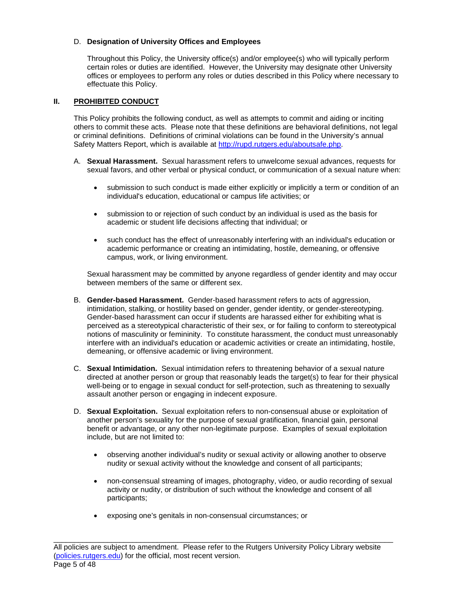# D. **Designation of University Offices and Employees**

Throughout this Policy, the University office(s) and/or employee(s) who will typically perform certain roles or duties are identified. However, the University may designate other University offices or employees to perform any roles or duties described in this Policy where necessary to effectuate this Policy.

# **II. PROHIBITED CONDUCT**

This Policy prohibits the following conduct, as well as attempts to commit and aiding or inciting others to commit these acts. Please note that these definitions are behavioral definitions, not legal or criminal definitions. Definitions of criminal violations can be found in the University's annual Safety Matters Report, which is available at [http://rupd.rutgers.edu/aboutsafe.php.](http://rupd.rutgers.edu/aboutsafe.php)

- A. **Sexual Harassment.** Sexual harassment refers to unwelcome sexual advances, requests for sexual favors, and other verbal or physical conduct, or communication of a sexual nature when:
	- submission to such conduct is made either explicitly or implicitly a term or condition of an individual's education, educational or campus life activities; or
	- submission to or rejection of such conduct by an individual is used as the basis for academic or student life decisions affecting that individual; or
	- such conduct has the effect of unreasonably interfering with an individual's education or academic performance or creating an intimidating, hostile, demeaning, or offensive campus, work, or living environment.

Sexual harassment may be committed by anyone regardless of gender identity and may occur between members of the same or different sex.

- B. **Gender-based Harassment.** Gender-based harassment refers to acts of aggression, intimidation, stalking, or hostility based on gender, gender identity, or gender-stereotyping. Gender-based harassment can occur if students are harassed either for exhibiting what is perceived as a stereotypical characteristic of their sex, or for failing to conform to stereotypical notions of masculinity or femininity. To constitute harassment, the conduct must unreasonably interfere with an individual's education or academic activities or create an intimidating, hostile, demeaning, or offensive academic or living environment.
- C. **Sexual Intimidation.** Sexual intimidation refers to threatening behavior of a sexual nature directed at another person or group that reasonably leads the target(s) to fear for their physical well-being or to engage in sexual conduct for self-protection, such as threatening to sexually assault another person or engaging in indecent exposure.
- D. **Sexual Exploitation.** Sexual exploitation refers to non-consensual abuse or exploitation of another person's sexuality for the purpose of sexual gratification, financial gain, personal benefit or advantage, or any other non-legitimate purpose. Examples of sexual exploitation include, but are not limited to:
	- observing another individual's nudity or sexual activity or allowing another to observe nudity or sexual activity without the knowledge and consent of all participants;
	- non-consensual streaming of images, photography, video, or audio recording of sexual activity or nudity, or distribution of such without the knowledge and consent of all participants;
	- exposing one's genitals in non-consensual circumstances; or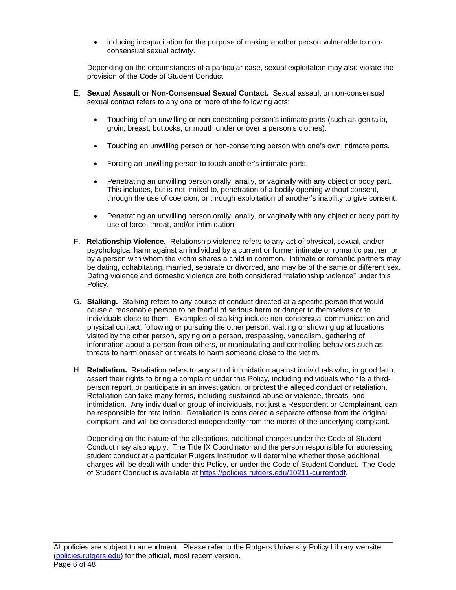• inducing incapacitation for the purpose of making another person vulnerable to nonconsensual sexual activity.

Depending on the circumstances of a particular case, sexual exploitation may also violate the provision of the Code of Student Conduct.

- E. **Sexual Assault or Non-Consensual Sexual Contact.** Sexual assault or non-consensual sexual contact refers to any one or more of the following acts:
	- Touching of an unwilling or non-consenting person's intimate parts (such as genitalia, groin, breast, buttocks, or mouth under or over a person's clothes).
	- Touching an unwilling person or non-consenting person with one's own intimate parts.
	- Forcing an unwilling person to touch another's intimate parts.
	- Penetrating an unwilling person orally, anally, or vaginally with any object or body part. This includes, but is not limited to, penetration of a bodily opening without consent, through the use of coercion, or through exploitation of another's inability to give consent.
	- Penetrating an unwilling person orally, anally, or vaginally with any object or body part by use of force, threat, and/or intimidation.
- F. **Relationship Violence.** Relationship violence refers to any act of physical, sexual, and/or psychological harm against an individual by a current or former intimate or romantic partner, or by a person with whom the victim shares a child in common. Intimate or romantic partners may be dating, cohabitating, married, separate or divorced, and may be of the same or different sex. Dating violence and domestic violence are both considered "relationship violence" under this Policy.
- G. **Stalking.** Stalking refers to any course of conduct directed at a specific person that would cause a reasonable person to be fearful of serious harm or danger to themselves or to individuals close to them. Examples of stalking include non-consensual communication and physical contact, following or pursuing the other person, waiting or showing up at locations visited by the other person, spying on a person, trespassing, vandalism, gathering of information about a person from others, or manipulating and controlling behaviors such as threats to harm oneself or threats to harm someone close to the victim.
- H. **Retaliation.** Retaliation refers to any act of intimidation against individuals who, in good faith, assert their rights to bring a complaint under this Policy, including individuals who file a thirdperson report, or participate in an investigation, or protest the alleged conduct or retaliation. Retaliation can take many forms, including sustained abuse or violence, threats, and intimidation. Any individual or group of individuals, not just a Respondent or Complainant, can be responsible for retaliation. Retaliation is considered a separate offense from the original complaint, and will be considered independently from the merits of the underlying complaint.

Depending on the nature of the allegations, additional charges under the Code of Student Conduct may also apply. The Title IX Coordinator and the person responsible for addressing student conduct at a particular Rutgers Institution will determine whether those additional charges will be dealt with under this Policy, or under the Code of Student Conduct. The Code of Student Conduct is available at [https://policies.rutgers.edu/10211-currentpdf.](https://policies.rutgers.edu/10211-currentpdf)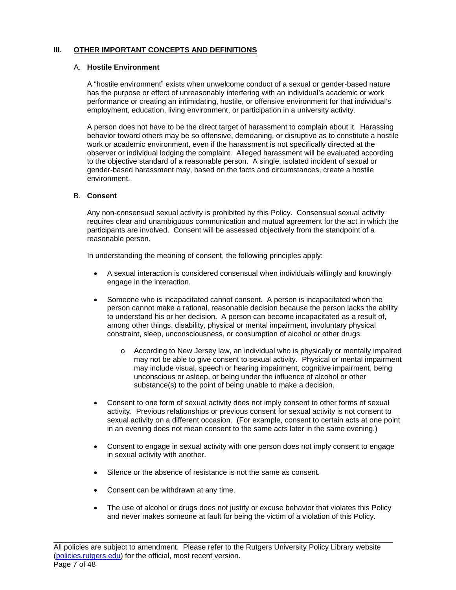#### **III. OTHER IMPORTANT CONCEPTS AND DEFINITIONS**

#### A. **Hostile Environment**

A "hostile environment" exists when unwelcome conduct of a sexual or gender-based nature has the purpose or effect of unreasonably interfering with an individual's academic or work performance or creating an intimidating, hostile, or offensive environment for that individual's employment, education, living environment, or participation in a university activity.

A person does not have to be the direct target of harassment to complain about it. Harassing behavior toward others may be so offensive, demeaning, or disruptive as to constitute a hostile work or academic environment, even if the harassment is not specifically directed at the observer or individual lodging the complaint. Alleged harassment will be evaluated according to the objective standard of a reasonable person. A single, isolated incident of sexual or gender-based harassment may, based on the facts and circumstances, create a hostile environment.

#### B. **Consent**

Any non-consensual sexual activity is prohibited by this Policy. Consensual sexual activity requires clear and unambiguous communication and mutual agreement for the act in which the participants are involved. Consent will be assessed objectively from the standpoint of a reasonable person.

In understanding the meaning of consent, the following principles apply:

- A sexual interaction is considered consensual when individuals willingly and knowingly engage in the interaction.
- Someone who is incapacitated cannot consent. A person is incapacitated when the person cannot make a rational, reasonable decision because the person lacks the ability to understand his or her decision. A person can become incapacitated as a result of, among other things, disability, physical or mental impairment, involuntary physical constraint, sleep, unconsciousness, or consumption of alcohol or other drugs.
	- o According to New Jersey law, an individual who is physically or mentally impaired may not be able to give consent to sexual activity. Physical or mental impairment may include visual, speech or hearing impairment, cognitive impairment, being unconscious or asleep, or being under the influence of alcohol or other substance(s) to the point of being unable to make a decision.
- Consent to one form of sexual activity does not imply consent to other forms of sexual activity. Previous relationships or previous consent for sexual activity is not consent to sexual activity on a different occasion. (For example, consent to certain acts at one point in an evening does not mean consent to the same acts later in the same evening.)
- Consent to engage in sexual activity with one person does not imply consent to engage in sexual activity with another.
- Silence or the absence of resistance is not the same as consent.
- Consent can be withdrawn at any time.
- The use of alcohol or drugs does not justify or excuse behavior that violates this Policy and never makes someone at fault for being the victim of a violation of this Policy.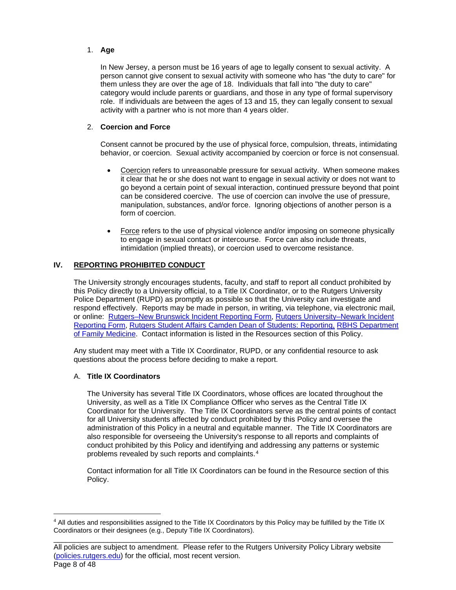# 1. **Age**

In New Jersey, a person must be 16 years of age to legally consent to sexual activity. A person cannot give consent to sexual activity with someone who has "the duty to care" for them unless they are over the age of 18. Individuals that fall into "the duty to care" category would include parents or guardians, and those in any type of formal supervisory role. If individuals are between the ages of 13 and 15, they can legally consent to sexual activity with a partner who is not more than 4 years older.

# 2. **Coercion and Force**

Consent cannot be procured by the use of physical force, compulsion, threats, intimidating behavior, or coercion. Sexual activity accompanied by coercion or force is not consensual.

- Coercion refers to unreasonable pressure for sexual activity. When someone makes it clear that he or she does not want to engage in sexual activity or does not want to go beyond a certain point of sexual interaction, continued pressure beyond that point can be considered coercive. The use of coercion can involve the use of pressure, manipulation, substances, and/or force. Ignoring objections of another person is a form of coercion.
- Force refers to the use of physical violence and/or imposing on someone physically to engage in sexual contact or intercourse. Force can also include threats, intimidation (implied threats), or coercion used to overcome resistance.

# **IV. REPORTING PROHIBITED CONDUCT**

The University strongly encourages students, faculty, and staff to report all conduct prohibited by this Policy directly to a University official, to a Title IX Coordinator, or to the Rutgers University Police Department (RUPD) as promptly as possible so that the University can investigate and respond effectively. Reports may be made in person, in writing, via telephone, via electronic mail, or online: [Rutgers–New Brunswick](https://cm.maxient.com/reportingform.php?RutgersUniv) Incident Reporting Form, [Rutgers University–Newark](https://cm.maxient.com/reportingform.php?RutgersUniv&layout_id=7) Incident [Reporting Form,](https://cm.maxient.com/reportingform.php?RutgersUniv&layout_id=7) Rutgers Student Affairs Camden [Dean of Students: Reporting,](https://deanofstudents.camden.rutgers.edu/reporting) RBHS [Department](http://njms.rutgers.edu/departments/family_medicine/shs/SexualAssault.cfm)  [of Family Medicine.](http://njms.rutgers.edu/departments/family_medicine/shs/SexualAssault.cfm) Contact information is listed in the Resources section of this Policy.

Any student may meet with a Title IX Coordinator, RUPD, or any confidential resource to ask questions about the process before deciding to make a report.

### A. **Title IX Coordinators**

The University has several Title IX Coordinators, whose offices are located throughout the University, as well as a Title IX Compliance Officer who serves as the Central Title IX Coordinator for the University. The Title IX Coordinators serve as the central points of contact for all University students affected by conduct prohibited by this Policy and oversee the administration of this Policy in a neutral and equitable manner. The Title IX Coordinators are also responsible for overseeing the University's response to all reports and complaints of conduct prohibited by this Policy and identifying and addressing any patterns or systemic problems revealed by such reports and complaints.[4](#page-7-0)

Contact information for all Title IX Coordinators can be found in the Resource section of this Policy.

<span id="page-7-0"></span><sup>4</sup> All duties and responsibilities assigned to the Title IX Coordinators by this Policy may be fulfilled by the Title IX Coordinators or their designees (e.g., Deputy Title IX Coordinators).

\_\_\_\_\_\_\_\_\_\_\_\_\_\_\_\_\_\_\_\_\_\_\_\_\_\_\_\_\_\_\_\_\_\_\_\_\_\_\_\_\_\_\_\_\_\_\_\_\_\_\_\_\_\_\_\_\_\_\_\_\_\_\_\_\_\_\_\_\_\_\_\_\_\_\_\_\_\_\_\_\_\_ All policies are subject to amendment. Please refer to the Rutgers University Policy Library website [\(policies.rutgers.edu\)](https://policies.rutgers.edu/) for the official, most recent version. Page 8 of 48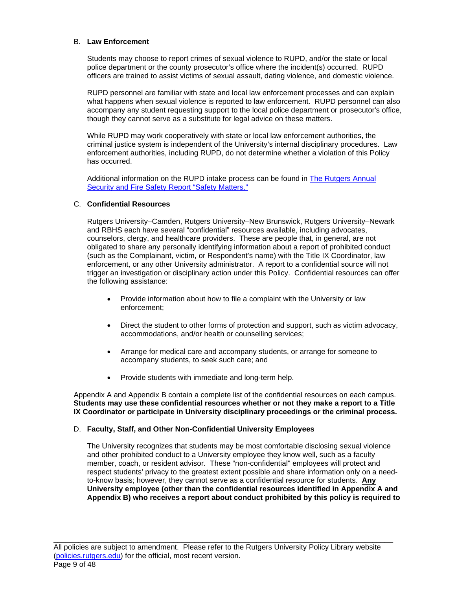#### B. **Law Enforcement**

Students may choose to report crimes of sexual violence to RUPD, and/or the state or local police department or the county prosecutor's office where the incident(s) occurred. RUPD officers are trained to assist victims of sexual assault, dating violence, and domestic violence.

RUPD personnel are familiar with state and local law enforcement processes and can explain what happens when sexual violence is reported to law enforcement. RUPD personnel can also accompany any student requesting support to the local police department or prosecutor's office, though they cannot serve as a substitute for legal advice on these matters.

While RUPD may work cooperatively with state or local law enforcement authorities, the criminal justice system is independent of the University's internal disciplinary procedures. Law enforcement authorities, including RUPD, do not determine whether a violation of this Policy has occurred.

Additional information on the RUPD intake process can be found in [The Rutgers](https://ipo.rutgers.edu/publicsafety/rupd) Annual [Security and Fire](https://ipo.rutgers.edu/publicsafety/rupd) Safety Report "Safety Matters."

#### C. **Confidential Resources**

Rutgers University–Camden, Rutgers University–New Brunswick, Rutgers University–Newark and RBHS each have several "confidential" resources available, including advocates, counselors, clergy, and healthcare providers. These are people that, in general, are not obligated to share any personally identifying information about a report of prohibited conduct (such as the Complainant, victim, or Respondent's name) with the Title IX Coordinator, law enforcement, or any other University administrator. A report to a confidential source will not trigger an investigation or disciplinary action under this Policy. Confidential resources can offer the following assistance:

- Provide information about how to file a complaint with the University or law enforcement;
- Direct the student to other forms of protection and support, such as victim advocacy, accommodations, and/or health or counselling services;
- Arrange for medical care and accompany students, or arrange for someone to accompany students, to seek such care; and
- Provide students with immediate and long-term help.

Appendix A and Appendix B contain a complete list of the confidential resources on each campus. **Students may use these confidential resources whether or not they make a report to a Title IX Coordinator or participate in University disciplinary proceedings or the criminal process.**

# D. **Faculty, Staff, and Other Non-Confidential University Employees**

The University recognizes that students may be most comfortable disclosing sexual violence and other prohibited conduct to a University employee they know well, such as a faculty member, coach, or resident advisor. These "non-confidential" employees will protect and respect students' privacy to the greatest extent possible and share information only on a needto-know basis; however, they cannot serve as a confidential resource for students. **Any University employee (other than the confidential resources identified in Appendix A and Appendix B) who receives a report about conduct prohibited by this policy is required to**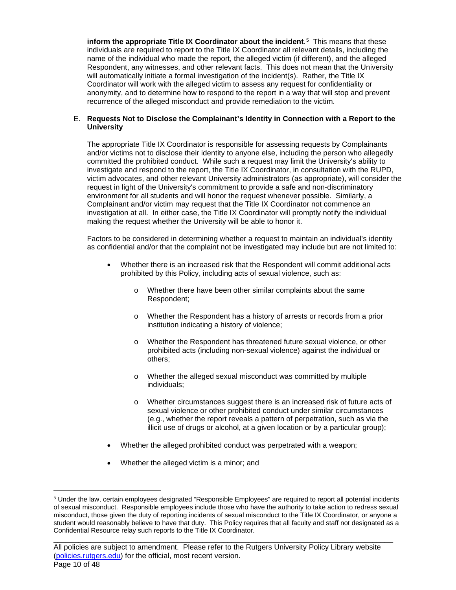**inform the appropriate Title IX Coordinator about the incident**.[5](#page-9-0) This means that these individuals are required to report to the Title IX Coordinator all relevant details, including the name of the individual who made the report, the alleged victim (if different), and the alleged Respondent, any witnesses, and other relevant facts. This does not mean that the University will automatically initiate a formal investigation of the incident(s). Rather, the Title IX Coordinator will work with the alleged victim to assess any request for confidentiality or anonymity, and to determine how to respond to the report in a way that will stop and prevent recurrence of the alleged misconduct and provide remediation to the victim.

#### E. **Requests Not to Disclose the Complainant's Identity in Connection with a Report to the University**

The appropriate Title IX Coordinator is responsible for assessing requests by Complainants and/or victims not to disclose their identity to anyone else, including the person who allegedly committed the prohibited conduct. While such a request may limit the University's ability to investigate and respond to the report, the Title IX Coordinator, in consultation with the RUPD, victim advocates, and other relevant University administrators (as appropriate), will consider the request in light of the University's commitment to provide a safe and non-discriminatory environment for all students and will honor the request whenever possible. Similarly, a Complainant and/or victim may request that the Title IX Coordinator not commence an investigation at all. In either case, the Title IX Coordinator will promptly notify the individual making the request whether the University will be able to honor it.

Factors to be considered in determining whether a request to maintain an individual's identity as confidential and/or that the complaint not be investigated may include but are not limited to:

- Whether there is an increased risk that the Respondent will commit additional acts prohibited by this Policy, including acts of sexual violence, such as:
	- o Whether there have been other similar complaints about the same Respondent;
	- o Whether the Respondent has a history of arrests or records from a prior institution indicating a history of violence;
	- o Whether the Respondent has threatened future sexual violence, or other prohibited acts (including non-sexual violence) against the individual or others;
	- o Whether the alleged sexual misconduct was committed by multiple individuals;
	- o Whether circumstances suggest there is an increased risk of future acts of sexual violence or other prohibited conduct under similar circumstances (e.g., whether the report reveals a pattern of perpetration, such as via the illicit use of drugs or alcohol, at a given location or by a particular group);
- Whether the alleged prohibited conduct was perpetrated with a weapon;
- Whether the alleged victim is a minor; and

<span id="page-9-0"></span> $<sup>5</sup>$  Under the law, certain employees designated "Responsible Employees" are required to report all potential incidents</sup> of sexual misconduct. Responsible employees include those who have the authority to take action to redress sexual misconduct, those given the duty of reporting incidents of sexual misconduct to the Title IX Coordinator, or anyone a student would reasonably believe to have that duty. This Policy requires that all faculty and staff not designated as a Confidential Resource relay such reports to the Title IX Coordinator.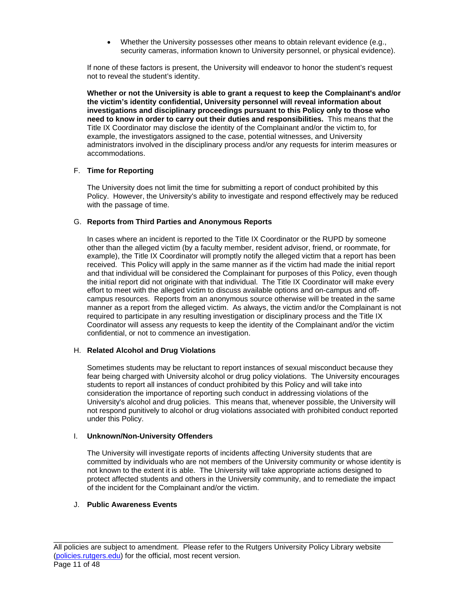Whether the University possesses other means to obtain relevant evidence (e.g., security cameras, information known to University personnel, or physical evidence).

If none of these factors is present, the University will endeavor to honor the student's request not to reveal the student's identity.

**Whether or not the University is able to grant a request to keep the Complainant's and/or the victim's identity confidential, University personnel will reveal information about investigations and disciplinary proceedings pursuant to this Policy only to those who need to know in order to carry out their duties and responsibilities.** This means that the Title IX Coordinator may disclose the identity of the Complainant and/or the victim to, for example, the investigators assigned to the case, potential witnesses, and University administrators involved in the disciplinary process and/or any requests for interim measures or accommodations.

# F. **Time for Reporting**

The University does not limit the time for submitting a report of conduct prohibited by this Policy. However, the University's ability to investigate and respond effectively may be reduced with the passage of time.

#### G. **Reports from Third Parties and Anonymous Reports**

In cases where an incident is reported to the Title IX Coordinator or the RUPD by someone other than the alleged victim (by a faculty member, resident advisor, friend, or roommate, for example), the Title IX Coordinator will promptly notify the alleged victim that a report has been received. This Policy will apply in the same manner as if the victim had made the initial report and that individual will be considered the Complainant for purposes of this Policy, even though the initial report did not originate with that individual. The Title IX Coordinator will make every effort to meet with the alleged victim to discuss available options and on-campus and offcampus resources. Reports from an anonymous source otherwise will be treated in the same manner as a report from the alleged victim. As always, the victim and/or the Complainant is not required to participate in any resulting investigation or disciplinary process and the Title IX Coordinator will assess any requests to keep the identity of the Complainant and/or the victim confidential, or not to commence an investigation.

# H. **Related Alcohol and Drug Violations**

Sometimes students may be reluctant to report instances of sexual misconduct because they fear being charged with University alcohol or drug policy violations. The University encourages students to report all instances of conduct prohibited by this Policy and will take into consideration the importance of reporting such conduct in addressing violations of the University's alcohol and drug policies. This means that, whenever possible, the University will not respond punitively to alcohol or drug violations associated with prohibited conduct reported under this Policy.

# I. **Unknown/Non-University Offenders**

The University will investigate reports of incidents affecting University students that are committed by individuals who are not members of the University community or whose identity is not known to the extent it is able. The University will take appropriate actions designed to protect affected students and others in the University community, and to remediate the impact of the incident for the Complainant and/or the victim.

### J. **Public Awareness Events**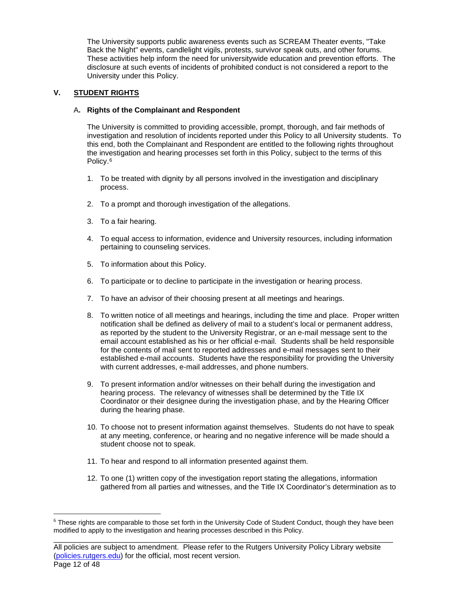The University supports public awareness events such as SCREAM Theater events, "Take Back the Night" events, candlelight vigils, protests, survivor speak outs, and other forums. These activities help inform the need for universitywide education and prevention efforts. The disclosure at such events of incidents of prohibited conduct is not considered a report to the University under this Policy.

# **V. STUDENT RIGHTS**

# A**. Rights of the Complainant and Respondent**

The University is committed to providing accessible, prompt, thorough, and fair methods of investigation and resolution of incidents reported under this Policy to all University students. To this end, both the Complainant and Respondent are entitled to the following rights throughout the investigation and hearing processes set forth in this Policy, subject to the terms of this Policy.[6](#page-11-0) 

- 1. To be treated with dignity by all persons involved in the investigation and disciplinary process.
- 2. To a prompt and thorough investigation of the allegations.
- 3. To a fair hearing.
- 4. To equal access to information, evidence and University resources, including information pertaining to counseling services.
- 5. To information about this Policy.
- 6. To participate or to decline to participate in the investigation or hearing process.
- 7. To have an advisor of their choosing present at all meetings and hearings.
- 8. To written notice of all meetings and hearings, including the time and place. Proper written notification shall be defined as delivery of mail to a student's local or permanent address, as reported by the student to the University Registrar, or an e-mail message sent to the email account established as his or her official e-mail. Students shall be held responsible for the contents of mail sent to reported addresses and e-mail messages sent to their established e-mail accounts. Students have the responsibility for providing the University with current addresses, e-mail addresses, and phone numbers.
- 9. To present information and/or witnesses on their behalf during the investigation and hearing process. The relevancy of witnesses shall be determined by the Title IX Coordinator or their designee during the investigation phase, and by the Hearing Officer during the hearing phase.
- 10. To choose not to present information against themselves. Students do not have to speak at any meeting, conference, or hearing and no negative inference will be made should a student choose not to speak.
- 11. To hear and respond to all information presented against them.
- 12. To one (1) written copy of the investigation report stating the allegations, information gathered from all parties and witnesses, and the Title IX Coordinator's determination as to

<span id="page-11-0"></span>\_\_\_\_\_\_\_\_\_\_\_\_\_\_\_\_\_\_\_\_\_\_\_\_\_\_\_\_\_\_\_\_\_\_\_\_\_\_\_\_\_\_\_\_\_\_\_\_\_\_\_\_\_\_\_\_\_\_\_\_\_\_\_\_\_\_\_\_\_\_\_\_\_\_\_\_\_\_\_\_\_\_ <sup>6</sup> These rights are comparable to those set forth in the University Code of Student Conduct, though they have been modified to apply to the investigation and hearing processes described in this Policy.

All policies are subject to amendment. Please refer to the Rutgers University Policy Library website [\(policies.rutgers.edu\)](https://policies.rutgers.edu/) for the official, most recent version. Page 12 of 48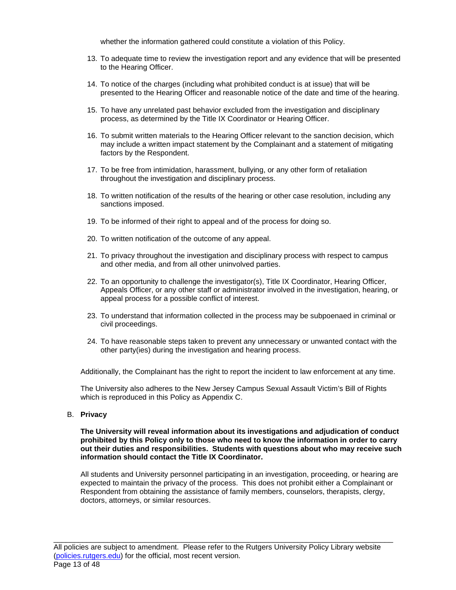whether the information gathered could constitute a violation of this Policy.

- 13. To adequate time to review the investigation report and any evidence that will be presented to the Hearing Officer.
- 14. To notice of the charges (including what prohibited conduct is at issue) that will be presented to the Hearing Officer and reasonable notice of the date and time of the hearing.
- 15. To have any unrelated past behavior excluded from the investigation and disciplinary process, as determined by the Title IX Coordinator or Hearing Officer.
- 16. To submit written materials to the Hearing Officer relevant to the sanction decision, which may include a written impact statement by the Complainant and a statement of mitigating factors by the Respondent.
- 17. To be free from intimidation, harassment, bullying, or any other form of retaliation throughout the investigation and disciplinary process.
- 18. To written notification of the results of the hearing or other case resolution, including any sanctions imposed.
- 19. To be informed of their right to appeal and of the process for doing so.
- 20. To written notification of the outcome of any appeal.
- 21. To privacy throughout the investigation and disciplinary process with respect to campus and other media, and from all other uninvolved parties.
- 22. To an opportunity to challenge the investigator(s), Title IX Coordinator, Hearing Officer, Appeals Officer, or any other staff or administrator involved in the investigation, hearing, or appeal process for a possible conflict of interest.
- 23. To understand that information collected in the process may be subpoenaed in criminal or civil proceedings.
- 24. To have reasonable steps taken to prevent any unnecessary or unwanted contact with the other party(ies) during the investigation and hearing process.

Additionally, the Complainant has the right to report the incident to law enforcement at any time.

The University also adheres to the New Jersey Campus Sexual Assault Victim's Bill of Rights which is reproduced in this Policy as Appendix C.

### B. **Privacy**

#### **The University will reveal information about its investigations and adjudication of conduct prohibited by this Policy only to those who need to know the information in order to carry out their duties and responsibilities. Students with questions about who may receive such information should contact the Title IX Coordinator.**

All students and University personnel participating in an investigation, proceeding, or hearing are expected to maintain the privacy of the process. This does not prohibit either a Complainant or Respondent from obtaining the assistance of family members, counselors, therapists, clergy, doctors, attorneys, or similar resources.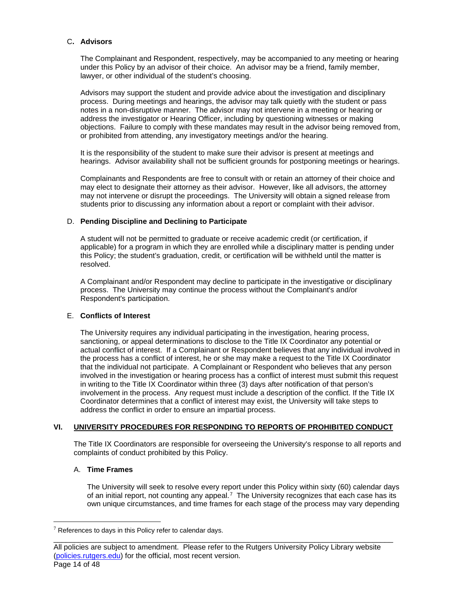# C**. Advisors**

The Complainant and Respondent, respectively, may be accompanied to any meeting or hearing under this Policy by an advisor of their choice. An advisor may be a friend, family member, lawyer, or other individual of the student's choosing.

Advisors may support the student and provide advice about the investigation and disciplinary process. During meetings and hearings, the advisor may talk quietly with the student or pass notes in a non-disruptive manner. The advisor may not intervene in a meeting or hearing or address the investigator or Hearing Officer, including by questioning witnesses or making objections. Failure to comply with these mandates may result in the advisor being removed from, or prohibited from attending, any investigatory meetings and/or the hearing.

It is the responsibility of the student to make sure their advisor is present at meetings and hearings. Advisor availability shall not be sufficient grounds for postponing meetings or hearings.

Complainants and Respondents are free to consult with or retain an attorney of their choice and may elect to designate their attorney as their advisor. However, like all advisors, the attorney may not intervene or disrupt the proceedings. The University will obtain a signed release from students prior to discussing any information about a report or complaint with their advisor.

# D. **Pending Discipline and Declining to Participate**

A student will not be permitted to graduate or receive academic credit (or certification, if applicable) for a program in which they are enrolled while a disciplinary matter is pending under this Policy; the student's graduation, credit, or certification will be withheld until the matter is resolved.

A Complainant and/or Respondent may decline to participate in the investigative or disciplinary process. The University may continue the process without the Complainant's and/or Respondent's participation.

# E. **Conflicts of Interest**

The University requires any individual participating in the investigation, hearing process, sanctioning, or appeal determinations to disclose to the Title IX Coordinator any potential or actual conflict of interest. If a Complainant or Respondent believes that any individual involved in the process has a conflict of interest, he or she may make a request to the Title IX Coordinator that the individual not participate. A Complainant or Respondent who believes that any person involved in the investigation or hearing process has a conflict of interest must submit this request in writing to the Title IX Coordinator within three (3) days after notification of that person's involvement in the process. Any request must include a description of the conflict. If the Title IX Coordinator determines that a conflict of interest may exist, the University will take steps to address the conflict in order to ensure an impartial process.

# **VI. UNIVERSITY PROCEDURES FOR RESPONDING TO REPORTS OF PROHIBITED CONDUCT**

The Title IX Coordinators are responsible for overseeing the University's response to all reports and complaints of conduct prohibited by this Policy.

#### A. **Time Frames**

The University will seek to resolve every report under this Policy within sixty (60) calendar days of an initial report, not counting any appeal.<sup>[7](#page-13-0)</sup> The University recognizes that each case has its own unique circumstances, and time frames for each stage of the process may vary depending

<span id="page-13-0"></span> $7$  References to days in this Policy refer to calendar days.

\_\_\_\_\_\_\_\_\_\_\_\_\_\_\_\_\_\_\_\_\_\_\_\_\_\_\_\_\_\_\_\_\_\_\_\_\_\_\_\_\_\_\_\_\_\_\_\_\_\_\_\_\_\_\_\_\_\_\_\_\_\_\_\_\_\_\_\_\_\_\_\_\_\_\_\_\_\_\_\_\_\_ All policies are subject to amendment. Please refer to the Rutgers University Policy Library website [\(policies.rutgers.edu\)](https://policies.rutgers.edu/) for the official, most recent version. Page 14 of 48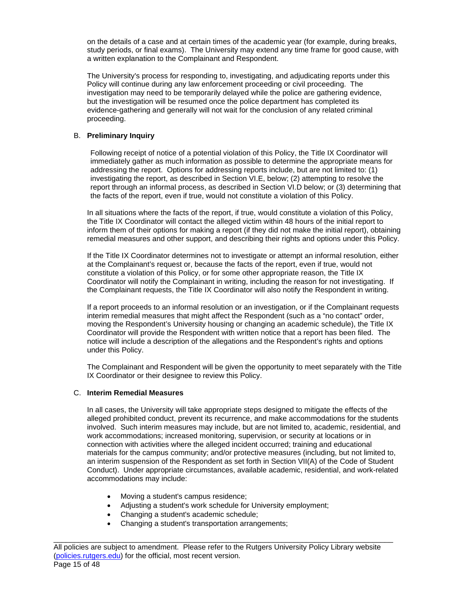on the details of a case and at certain times of the academic year (for example, during breaks, study periods, or final exams). The University may extend any time frame for good cause, with a written explanation to the Complainant and Respondent.

The University's process for responding to, investigating, and adjudicating reports under this Policy will continue during any law enforcement proceeding or civil proceeding. The investigation may need to be temporarily delayed while the police are gathering evidence, but the investigation will be resumed once the police department has completed its evidence-gathering and generally will not wait for the conclusion of any related criminal proceeding.

### B. **Preliminary Inquiry**

Following receipt of notice of a potential violation of this Policy, the Title IX Coordinator will immediately gather as much information as possible to determine the appropriate means for addressing the report. Options for addressing reports include, but are not limited to: (1) investigating the report, as described in Section VI.E, below; (2) attempting to resolve the report through an informal process, as described in Section VI.D below; or (3) determining that the facts of the report, even if true, would not constitute a violation of this Policy.

In all situations where the facts of the report, if true, would constitute a violation of this Policy, the Title IX Coordinator will contact the alleged victim within 48 hours of the initial report to inform them of their options for making a report (if they did not make the initial report), obtaining remedial measures and other support, and describing their rights and options under this Policy.

If the Title IX Coordinator determines not to investigate or attempt an informal resolution, either at the Complainant's request or, because the facts of the report, even if true, would not constitute a violation of this Policy, or for some other appropriate reason, the Title IX Coordinator will notify the Complainant in writing, including the reason for not investigating. If the Complainant requests, the Title IX Coordinator will also notify the Respondent in writing.

If a report proceeds to an informal resolution or an investigation, or if the Complainant requests interim remedial measures that might affect the Respondent (such as a "no contact" order, moving the Respondent's University housing or changing an academic schedule), the Title IX Coordinator will provide the Respondent with written notice that a report has been filed. The notice will include a description of the allegations and the Respondent's rights and options under this Policy.

The Complainant and Respondent will be given the opportunity to meet separately with the Title IX Coordinator or their designee to review this Policy.

# C. **Interim Remedial Measures**

In all cases, the University will take appropriate steps designed to mitigate the effects of the alleged prohibited conduct, prevent its recurrence, and make accommodations for the students involved. Such interim measures may include, but are not limited to, academic, residential, and work accommodations; increased monitoring, supervision, or security at locations or in connection with activities where the alleged incident occurred; training and educational materials for the campus community; and/or protective measures (including, but not limited to, an interim suspension of the Respondent as set forth in Section VII(A) of the Code of Student Conduct). Under appropriate circumstances, available academic, residential, and work-related accommodations may include:

- Moving a student's campus residence;
- Adjusting a student's work schedule for University employment;
- Changing a student's academic schedule;
- Changing a student's transportation arrangements;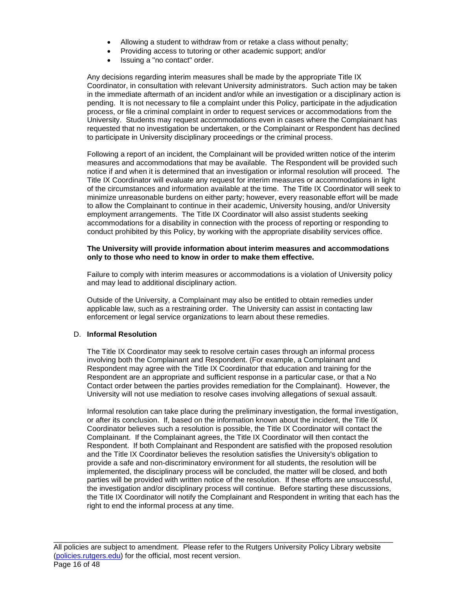- Allowing a student to withdraw from or retake a class without penalty;
- Providing access to tutoring or other academic support; and/or
- Issuing a "no contact" order.

Any decisions regarding interim measures shall be made by the appropriate Title IX Coordinator, in consultation with relevant University administrators.Such action may be taken in the immediate aftermath of an incident and/or while an investigation or a disciplinary action is pending. It is not necessary to file a complaint under this Policy, participate in the adjudication process, or file a criminal complaint in order to request services or accommodations from the University. Students may request accommodations even in cases where the Complainant has requested that no investigation be undertaken, or the Complainant or Respondent has declined to participate in University disciplinary proceedings or the criminal process.

Following a report of an incident, the Complainant will be provided written notice of the interim measures and accommodations that may be available. The Respondent will be provided such notice if and when it is determined that an investigation or informal resolution will proceed. The Title IX Coordinator will evaluate any request for interim measures or accommodations in light of the circumstances and information available at the time. The Title IX Coordinator will seek to minimize unreasonable burdens on either party; however, every reasonable effort will be made to allow the Complainant to continue in their academic, University housing, and/or University employment arrangements. The Title IX Coordinator will also assist students seeking accommodations for a disability in connection with the process of reporting or responding to conduct prohibited by this Policy, by working with the appropriate disability services office.

#### **The University will provide information about interim measures and accommodations only to those who need to know in order to make them effective.**

Failure to comply with interim measures or accommodations is a violation of University policy and may lead to additional disciplinary action.

Outside of the University, a Complainant may also be entitled to obtain remedies under applicable law, such as a restraining order. The University can assist in contacting law enforcement or legal service organizations to learn about these remedies.

#### D. **Informal Resolution**

The Title IX Coordinator may seek to resolve certain cases through an informal process involving both the Complainant and Respondent. (For example, a Complainant and Respondent may agree with the Title IX Coordinator that education and training for the Respondent are an appropriate and sufficient response in a particular case, or that a No Contact order between the parties provides remediation for the Complainant). However, the University will not use mediation to resolve cases involving allegations of sexual assault.

Informal resolution can take place during the preliminary investigation, the formal investigation, or after its conclusion. If, based on the information known about the incident, the Title IX Coordinator believes such a resolution is possible, the Title IX Coordinator will contact the Complainant. If the Complainant agrees, the Title IX Coordinator will then contact the Respondent. If both Complainant and Respondent are satisfied with the proposed resolution and the Title IX Coordinator believes the resolution satisfies the University's obligation to provide a safe and non-discriminatory environment for all students, the resolution will be implemented, the disciplinary process will be concluded, the matter will be closed, and both parties will be provided with written notice of the resolution. If these efforts are unsuccessful, the investigation and/or disciplinary process will continue. Before starting these discussions, the Title IX Coordinator will notify the Complainant and Respondent in writing that each has the right to end the informal process at any time.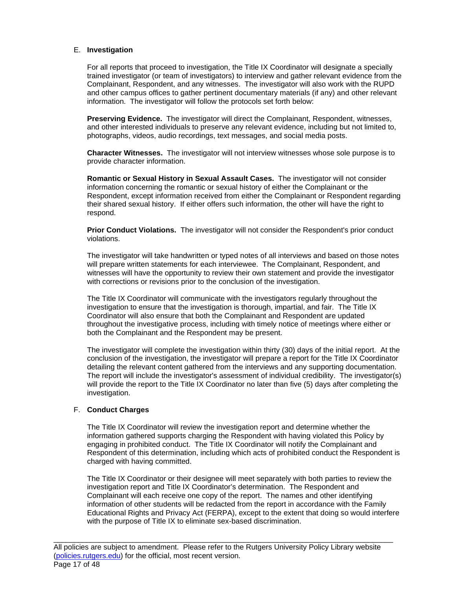#### E. **Investigation**

For all reports that proceed to investigation, the Title IX Coordinator will designate a specially trained investigator (or team of investigators) to interview and gather relevant evidence from the Complainant, Respondent, and any witnesses. The investigator will also work with the RUPD and other campus offices to gather pertinent documentary materials (if any) and other relevant information. The investigator will follow the protocols set forth below:

**Preserving Evidence.** The investigator will direct the Complainant, Respondent, witnesses, and other interested individuals to preserve any relevant evidence, including but not limited to, photographs, videos, audio recordings, text messages, and social media posts.

**Character Witnesses.** The investigator will not interview witnesses whose sole purpose is to provide character information.

**Romantic or Sexual History in Sexual Assault Cases.** The investigator will not consider information concerning the romantic or sexual history of either the Complainant or the Respondent, except information received from either the Complainant or Respondent regarding their shared sexual history. If either offers such information, the other will have the right to respond.

**Prior Conduct Violations.** The investigator will not consider the Respondent's prior conduct violations.

The investigator will take handwritten or typed notes of all interviews and based on those notes will prepare written statements for each interviewee. The Complainant, Respondent, and witnesses will have the opportunity to review their own statement and provide the investigator with corrections or revisions prior to the conclusion of the investigation.

The Title IX Coordinator will communicate with the investigators regularly throughout the investigation to ensure that the investigation is thorough, impartial, and fair. The Title IX Coordinator will also ensure that both the Complainant and Respondent are updated throughout the investigative process, including with timely notice of meetings where either or both the Complainant and the Respondent may be present.

The investigator will complete the investigation within thirty (30) days of the initial report. At the conclusion of the investigation, the investigator will prepare a report for the Title IX Coordinator detailing the relevant content gathered from the interviews and any supporting documentation. The report will include the investigator's assessment of individual credibility. The investigator(s) will provide the report to the Title IX Coordinator no later than five (5) days after completing the investigation.

#### F. **Conduct Charges**

The Title IX Coordinator will review the investigation report and determine whether the information gathered supports charging the Respondent with having violated this Policy by engaging in prohibited conduct. The Title IX Coordinator will notify the Complainant and Respondent of this determination, including which acts of prohibited conduct the Respondent is charged with having committed.

The Title IX Coordinator or their designee will meet separately with both parties to review the investigation report and Title IX Coordinator's determination. The Respondent and Complainant will each receive one copy of the report. The names and other identifying information of other students will be redacted from the report in accordance with the Family Educational Rights and Privacy Act (FERPA), except to the extent that doing so would interfere with the purpose of Title IX to eliminate sex-based discrimination.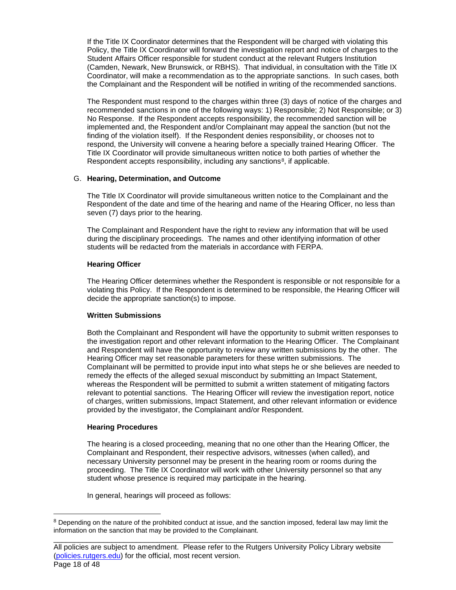If the Title IX Coordinator determines that the Respondent will be charged with violating this Policy, the Title IX Coordinator will forward the investigation report and notice of charges to the Student Affairs Officer responsible for student conduct at the relevant Rutgers Institution (Camden, Newark, New Brunswick, or RBHS). That individual, in consultation with the Title IX Coordinator, will make a recommendation as to the appropriate sanctions. In such cases, both the Complainant and the Respondent will be notified in writing of the recommended sanctions.

The Respondent must respond to the charges within three (3) days of notice of the charges and recommended sanctions in one of the following ways: 1) Responsible; 2) Not Responsible; or 3) No Response. If the Respondent accepts responsibility, the recommended sanction will be implemented and, the Respondent and/or Complainant may appeal the sanction (but not the finding of the violation itself). If the Respondent denies responsibility, or chooses not to respond, the University will convene a hearing before a specially trained Hearing Officer. The Title IX Coordinator will provide simultaneous written notice to both parties of whether the Respondent accepts responsibility, including any sanctions<sup>8</sup>, if applicable.

#### G. **Hearing, Determination, and Outcome**

The Title IX Coordinator will provide simultaneous written notice to the Complainant and the Respondent of the date and time of the hearing and name of the Hearing Officer, no less than seven (7) days prior to the hearing.

The Complainant and Respondent have the right to review any information that will be used during the disciplinary proceedings. The names and other identifying information of other students will be redacted from the materials in accordance with FERPA.

#### **Hearing Officer**

The Hearing Officer determines whether the Respondent is responsible or not responsible for a violating this Policy. If the Respondent is determined to be responsible, the Hearing Officer will decide the appropriate sanction(s) to impose.

# **Written Submissions**

Both the Complainant and Respondent will have the opportunity to submit written responses to the investigation report and other relevant information to the Hearing Officer. The Complainant and Respondent will have the opportunity to review any written submissions by the other. The Hearing Officer may set reasonable parameters for these written submissions. The Complainant will be permitted to provide input into what steps he or she believes are needed to remedy the effects of the alleged sexual misconduct by submitting an Impact Statement, whereas the Respondent will be permitted to submit a written statement of mitigating factors relevant to potential sanctions. The Hearing Officer will review the investigation report, notice of charges, written submissions, Impact Statement, and other relevant information or evidence provided by the investigator, the Complainant and/or Respondent.

#### **Hearing Procedures**

The hearing is a closed proceeding, meaning that no one other than the Hearing Officer, the Complainant and Respondent, their respective advisors, witnesses (when called), and necessary University personnel may be present in the hearing room or rooms during the proceeding. The Title IX Coordinator will work with other University personnel so that any student whose presence is required may participate in the hearing.

In general, hearings will proceed as follows:

<span id="page-17-0"></span><sup>&</sup>lt;sup>8</sup> Depending on the nature of the prohibited conduct at issue, and the sanction imposed, federal law may limit the information on the sanction that may be provided to the Complainant.

\_\_\_\_\_\_\_\_\_\_\_\_\_\_\_\_\_\_\_\_\_\_\_\_\_\_\_\_\_\_\_\_\_\_\_\_\_\_\_\_\_\_\_\_\_\_\_\_\_\_\_\_\_\_\_\_\_\_\_\_\_\_\_\_\_\_\_\_\_\_\_\_\_\_\_\_\_\_\_\_\_\_ All policies are subject to amendment. Please refer to the Rutgers University Policy Library website [\(policies.rutgers.edu\)](https://policies.rutgers.edu/) for the official, most recent version. Page 18 of 48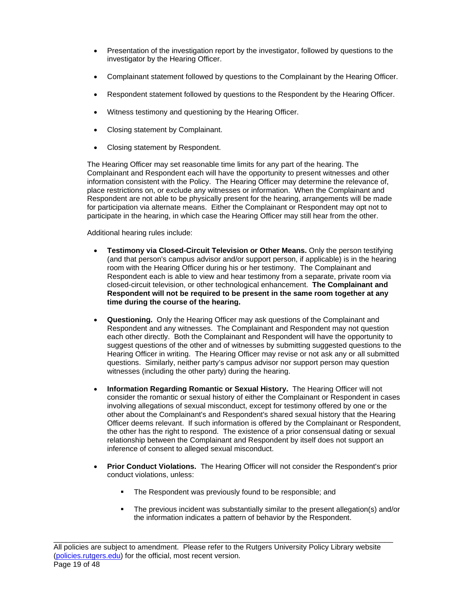- Presentation of the investigation report by the investigator, followed by questions to the investigator by the Hearing Officer.
- Complainant statement followed by questions to the Complainant by the Hearing Officer.
- Respondent statement followed by questions to the Respondent by the Hearing Officer.
- Witness testimony and questioning by the Hearing Officer.
- Closing statement by Complainant.
- Closing statement by Respondent.

The Hearing Officer may set reasonable time limits for any part of the hearing. The Complainant and Respondent each will have the opportunity to present witnesses and other information consistent with the Policy. The Hearing Officer may determine the relevance of, place restrictions on, or exclude any witnesses or information. When the Complainant and Respondent are not able to be physically present for the hearing, arrangements will be made for participation via alternate means. Either the Complainant or Respondent may opt not to participate in the hearing, in which case the Hearing Officer may still hear from the other.

Additional hearing rules include:

- **Testimony via Closed-Circuit Television or Other Means.** Only the person testifying (and that person's campus advisor and/or support person, if applicable) is in the hearing room with the Hearing Officer during his or her testimony. The Complainant and Respondent each is able to view and hear testimony from a separate, private room via closed-circuit television, or other technological enhancement. **The Complainant and Respondent will not be required to be present in the same room together at any time during the course of the hearing.**
- **Questioning.** Only the Hearing Officer may ask questions of the Complainant and Respondent and any witnesses. The Complainant and Respondent may not question each other directly. Both the Complainant and Respondent will have the opportunity to suggest questions of the other and of witnesses by submitting suggested questions to the Hearing Officer in writing. The Hearing Officer may revise or not ask any or all submitted questions. Similarly, neither party's campus advisor nor support person may question witnesses (including the other party) during the hearing.
- **Information Regarding Romantic or Sexual History.** The Hearing Officer will not consider the romantic or sexual history of either the Complainant or Respondent in cases involving allegations of sexual misconduct, except for testimony offered by one or the other about the Complainant's and Respondent's shared sexual history that the Hearing Officer deems relevant. If such information is offered by the Complainant or Respondent, the other has the right to respond. The existence of a prior consensual dating or sexual relationship between the Complainant and Respondent by itself does not support an inference of consent to alleged sexual misconduct.
- **Prior Conduct Violations.** The Hearing Officer will not consider the Respondent's prior conduct violations, unless:
	- The Respondent was previously found to be responsible; and
	- The previous incident was substantially similar to the present allegation(s) and/or the information indicates a pattern of behavior by the Respondent.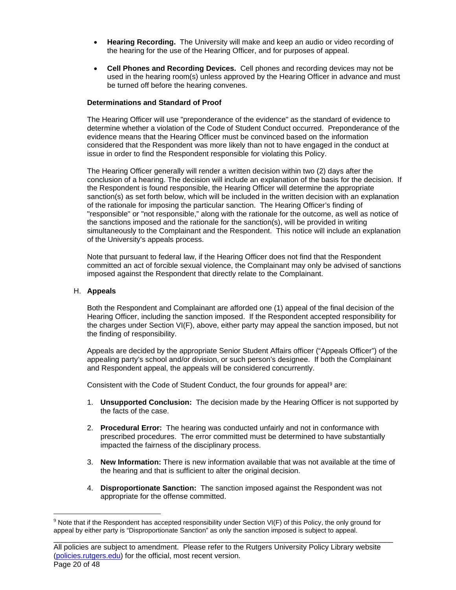- **Hearing Recording.** The University will make and keep an audio or video recording of the hearing for the use of the Hearing Officer, and for purposes of appeal.
- **Cell Phones and Recording Devices.** Cell phones and recording devices may not be used in the hearing room(s) unless approved by the Hearing Officer in advance and must be turned off before the hearing convenes.

#### **Determinations and Standard of Proof**

The Hearing Officer will use "preponderance of the evidence" as the standard of evidence to determine whether a violation of the Code of Student Conduct occurred. Preponderance of the evidence means that the Hearing Officer must be convinced based on the information considered that the Respondent was more likely than not to have engaged in the conduct at issue in order to find the Respondent responsible for violating this Policy.

The Hearing Officer generally will render a written decision within two (2) days after the conclusion of a hearing. The decision will include an explanation of the basis for the decision. If the Respondent is found responsible, the Hearing Officer will determine the appropriate sanction(s) as set forth below, which will be included in the written decision with an explanation of the rationale for imposing the particular sanction. The Hearing Officer's finding of "responsible" or "not responsible," along with the rationale for the outcome, as well as notice of the sanctions imposed and the rationale for the sanction(s), will be provided in writing simultaneously to the Complainant and the Respondent. This notice will include an explanation of the University's appeals process.

Note that pursuant to federal law, if the Hearing Officer does not find that the Respondent committed an act of forcible sexual violence, the Complainant may only be advised of sanctions imposed against the Respondent that directly relate to the Complainant.

#### H. **Appeals**

Both the Respondent and Complainant are afforded one (1) appeal of the final decision of the Hearing Officer, including the sanction imposed. If the Respondent accepted responsibility for the charges under Section VI(F), above, either party may appeal the sanction imposed, but not the finding of responsibility.

Appeals are decided by the appropriate Senior Student Affairs officer ("Appeals Officer") of the appealing party's school and/or division, or such person's designee. If both the Complainant and Respondent appeal, the appeals will be considered concurrently.

Consistent with the Code of Student Conduct, the four grounds for appeal<sup>[9](#page-19-0)</sup> are:

- 1. **Unsupported Conclusion:** The decision made by the Hearing Officer is not supported by the facts of the case.
- 2. **Procedural Error:** The hearing was conducted unfairly and not in conformance with prescribed procedures. The error committed must be determined to have substantially impacted the fairness of the disciplinary process.
- 3. **New Information:** There is new information available that was not available at the time of the hearing and that is sufficient to alter the original decision.
- 4. **Disproportionate Sanction:** The sanction imposed against the Respondent was not appropriate for the offense committed.

\_\_\_\_\_\_\_\_\_\_\_\_\_\_\_\_\_\_\_\_\_\_\_\_\_\_\_\_\_\_\_\_\_\_\_\_\_\_\_\_\_\_\_\_\_\_\_\_\_\_\_\_\_\_\_\_\_\_\_\_\_\_\_\_\_\_\_\_\_\_\_\_\_\_\_\_\_\_\_\_\_\_

<span id="page-19-0"></span> $9$  Note that if the Respondent has accepted responsibility under Section VI(F) of this Policy, the only ground for appeal by either party is "Disproportionate Sanction" as only the sanction imposed is subject to appeal.

All policies are subject to amendment. Please refer to the Rutgers University Policy Library website [\(policies.rutgers.edu\)](https://policies.rutgers.edu/) for the official, most recent version. Page 20 of 48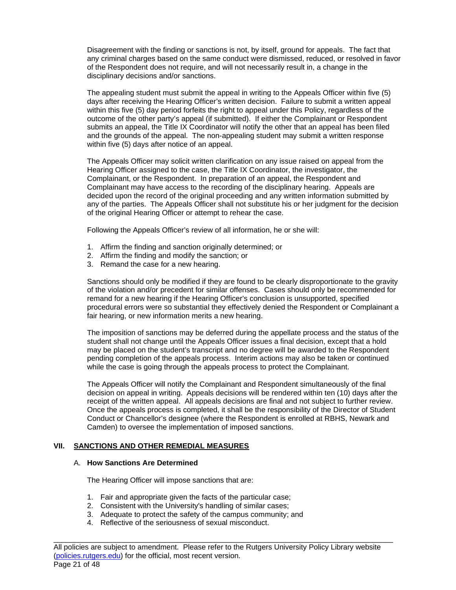Disagreement with the finding or sanctions is not, by itself, ground for appeals. The fact that any criminal charges based on the same conduct were dismissed, reduced, or resolved in favor of the Respondent does not require, and will not necessarily result in, a change in the disciplinary decisions and/or sanctions.

The appealing student must submit the appeal in writing to the Appeals Officer within five (5) days after receiving the Hearing Officer's written decision. Failure to submit a written appeal within this five (5) day period forfeits the right to appeal under this Policy, regardless of the outcome of the other party's appeal (if submitted). If either the Complainant or Respondent submits an appeal, the Title IX Coordinator will notify the other that an appeal has been filed and the grounds of the appeal. The non-appealing student may submit a written response within five (5) days after notice of an appeal.

The Appeals Officer may solicit written clarification on any issue raised on appeal from the Hearing Officer assigned to the case, the Title IX Coordinator, the investigator, the Complainant, or the Respondent. In preparation of an appeal, the Respondent and Complainant may have access to the recording of the disciplinary hearing. Appeals are decided upon the record of the original proceeding and any written information submitted by any of the parties. The Appeals Officer shall not substitute his or her judgment for the decision of the original Hearing Officer or attempt to rehear the case.

Following the Appeals Officer's review of all information, he or she will:

- 1. Affirm the finding and sanction originally determined; or
- 2. Affirm the finding and modify the sanction; or
- 3. Remand the case for a new hearing.

Sanctions should only be modified if they are found to be clearly disproportionate to the gravity of the violation and/or precedent for similar offenses. Cases should only be recommended for remand for a new hearing if the Hearing Officer's conclusion is unsupported, specified procedural errors were so substantial they effectively denied the Respondent or Complainant a fair hearing, or new information merits a new hearing.

The imposition of sanctions may be deferred during the appellate process and the status of the student shall not change until the Appeals Officer issues a final decision, except that a hold may be placed on the student's transcript and no degree will be awarded to the Respondent pending completion of the appeals process. Interim actions may also be taken or continued while the case is going through the appeals process to protect the Complainant.

The Appeals Officer will notify the Complainant and Respondent simultaneously of the final decision on appeal in writing. Appeals decisions will be rendered within ten (10) days after the receipt of the written appeal. All appeals decisions are final and not subject to further review. Once the appeals process is completed, it shall be the responsibility of the Director of Student Conduct or Chancellor's designee (where the Respondent is enrolled at RBHS, Newark and Camden) to oversee the implementation of imposed sanctions.

# **VII. SANCTIONS AND OTHER REMEDIAL MEASURES**

#### A. **How Sanctions Are Determined**

The Hearing Officer will impose sanctions that are:

- 1. Fair and appropriate given the facts of the particular case;
- 2. Consistent with the University's handling of similar cases;
- 3. Adequate to protect the safety of the campus community; and
- 4. Reflective of the seriousness of sexual misconduct.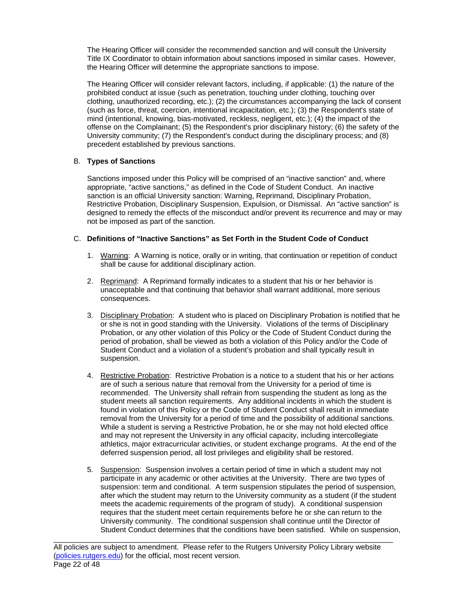The Hearing Officer will consider the recommended sanction and will consult the University Title IX Coordinator to obtain information about sanctions imposed in similar cases. However, the Hearing Officer will determine the appropriate sanctions to impose.

The Hearing Officer will consider relevant factors, including, if applicable: (1) the nature of the prohibited conduct at issue (such as penetration, touching under clothing, touching over clothing, unauthorized recording, etc.); (2) the circumstances accompanying the lack of consent (such as force, threat, coercion, intentional incapacitation, etc.); (3) the Respondent's state of mind (intentional, knowing, bias-motivated, reckless, negligent, etc.); (4) the impact of the offense on the Complainant; (5) the Respondent's prior disciplinary history; (6) the safety of the University community; (7) the Respondent's conduct during the disciplinary process; and (8) precedent established by previous sanctions.

# B. **Types of Sanctions**

Sanctions imposed under this Policy will be comprised of an "inactive sanction" and, where appropriate, "active sanctions," as defined in the Code of Student Conduct. An inactive sanction is an official University sanction: Warning, Reprimand, Disciplinary Probation, Restrictive Probation, Disciplinary Suspension, Expulsion, or Dismissal. An "active sanction" is designed to remedy the effects of the misconduct and/or prevent its recurrence and may or may not be imposed as part of the sanction.

# C. **Definitions of "Inactive Sanctions" as Set Forth in the Student Code of Conduct**

- 1. Warning: A Warning is notice, orally or in writing, that continuation or repetition of conduct shall be cause for additional disciplinary action.
- 2. Reprimand: A Reprimand formally indicates to a student that his or her behavior is unacceptable and that continuing that behavior shall warrant additional, more serious consequences.
- 3. Disciplinary Probation: A student who is placed on Disciplinary Probation is notified that he or she is not in good standing with the University. Violations of the terms of Disciplinary Probation, or any other violation of this Policy or the Code of Student Conduct during the period of probation, shall be viewed as both a violation of this Policy and/or the Code of Student Conduct and a violation of a student's probation and shall typically result in suspension.
- 4. Restrictive Probation: Restrictive Probation is a notice to a student that his or her actions are of such a serious nature that removal from the University for a period of time is recommended. The University shall refrain from suspending the student as long as the student meets all sanction requirements. Any additional incidents in which the student is found in violation of this Policy or the Code of Student Conduct shall result in immediate removal from the University for a period of time and the possibility of additional sanctions. While a student is serving a Restrictive Probation, he or she may not hold elected office and may not represent the University in any official capacity, including intercollegiate athletics, major extracurricular activities, or student exchange programs. At the end of the deferred suspension period, all lost privileges and eligibility shall be restored.
- 5. Suspension: Suspension involves a certain period of time in which a student may not participate in any academic or other activities at the University. There are two types of suspension: term and conditional. A term suspension stipulates the period of suspension, after which the student may return to the University community as a student (if the student meets the academic requirements of the program of study). A conditional suspension requires that the student meet certain requirements before he or she can return to the University community. The conditional suspension shall continue until the Director of Student Conduct determines that the conditions have been satisfied. While on suspension,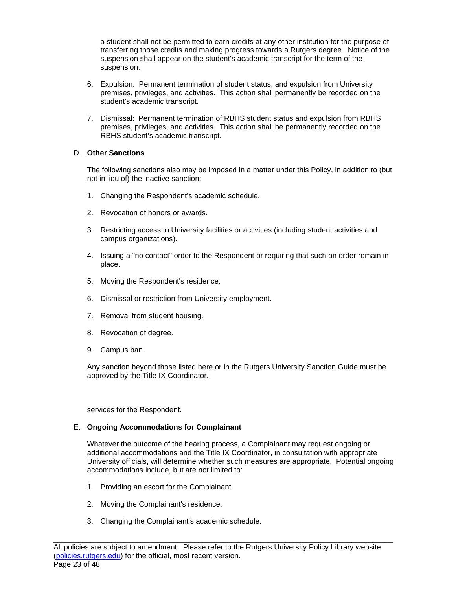a student shall not be permitted to earn credits at any other institution for the purpose of transferring those credits and making progress towards a Rutgers degree. Notice of the suspension shall appear on the student's academic transcript for the term of the suspension.

- 6. Expulsion: Permanent termination of student status, and expulsion from University premises, privileges, and activities. This action shall permanently be recorded on the student's academic transcript.
- 7. Dismissal: Permanent termination of RBHS student status and expulsion from RBHS premises, privileges, and activities. This action shall be permanently recorded on the RBHS student's academic transcript.

# D. **Other Sanctions**

The following sanctions also may be imposed in a matter under this Policy, in addition to (but not in lieu of) the inactive sanction:

- 1. Changing the Respondent's academic schedule.
- 2. Revocation of honors or awards.
- 3. Restricting access to University facilities or activities (including student activities and campus organizations).
- 4. Issuing a "no contact" order to the Respondent or requiring that such an order remain in place.
- 5. Moving the Respondent's residence.
- 6. Dismissal or restriction from University employment.
- 7. Removal from student housing.
- 8. Revocation of degree.
- 9. Campus ban.

Any sanction beyond those listed here or in the Rutgers University Sanction Guide must be approved by the Title IX Coordinator.

services for the Respondent.

# E. **Ongoing Accommodations for Complainant**

Whatever the outcome of the hearing process, a Complainant may request ongoing or additional accommodations and the Title IX Coordinator, in consultation with appropriate University officials, will determine whether such measures are appropriate. Potential ongoing accommodations include, but are not limited to:

- 1. Providing an escort for the Complainant.
- 2. Moving the Complainant's residence.
- 3. Changing the Complainant's academic schedule.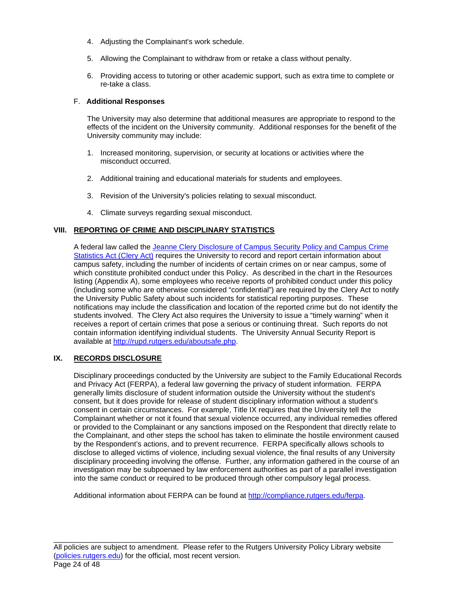- 4. Adjusting the Complainant's work schedule.
- 5. Allowing the Complainant to withdraw from or retake a class without penalty.
- 6. Providing access to tutoring or other academic support, such as extra time to complete or re-take a class.

#### F. **Additional Responses**

The University may also determine that additional measures are appropriate to respond to the effects of the incident on the University community. Additional responses for the benefit of the University community may include:

- 1. Increased monitoring, supervision, or security at locations or activities where the misconduct occurred.
- 2. Additional training and educational materials for students and employees.
- 3. Revision of the University's policies relating to sexual misconduct.
- 4. Climate surveys regarding sexual misconduct.

# **VIII. REPORTING OF CRIME AND DISCIPLINARY STATISTICS**

A federal law called the [Jeanne Clery Disclosure of Campus Security Policy and Campus Crime](https://policies.rutgers.edu/3032-currentpdf-0)  [Statistics Act \(Clery Act\)](https://policies.rutgers.edu/3032-currentpdf-0) requires the University to record and report certain information about campus safety, including the number of incidents of certain crimes on or near campus, some of which constitute prohibited conduct under this Policy. As described in the chart in the Resources listing (Appendix A), some employees who receive reports of prohibited conduct under this policy (including some who are otherwise considered "confidential") are required by the Clery Act to notify the University Public Safety about such incidents for statistical reporting purposes. These notifications may include the classification and location of the reported crime but do not identify the students involved. The Clery Act also requires the University to issue a "timely warning" when it receives a report of certain crimes that pose a serious or continuing threat. Such reports do not contain information identifying individual students. The University Annual Security Report is available at [http://rupd.rutgers.edu/aboutsafe.php.](http://rupd.rutgers.edu/aboutsafe.php)

# **IX. RECORDS DISCLOSURE**

Disciplinary proceedings conducted by the University are subject to the Family Educational Records and Privacy Act (FERPA), a federal law governing the privacy of student information. FERPA generally limits disclosure of student information outside the University without the student's consent, but it does provide for release of student disciplinary information without a student's consent in certain circumstances. For example, Title IX requires that the University tell the Complainant whether or not it found that sexual violence occurred, any individual remedies offered or provided to the Complainant or any sanctions imposed on the Respondent that directly relate to the Complainant, and other steps the school has taken to eliminate the hostile environment caused by the Respondent's actions, and to prevent recurrence. FERPA specifically allows schools to disclose to alleged victims of violence, including sexual violence, the final results of any University disciplinary proceeding involving the offense. Further, any information gathered in the course of an investigation may be subpoenaed by law enforcement authorities as part of a parallel investigation into the same conduct or required to be produced through other compulsory legal process.

Additional information about FERPA can be found at [http://compliance.rutgers.edu/ferpa.](http://compliance.rutgers.edu/ferpa)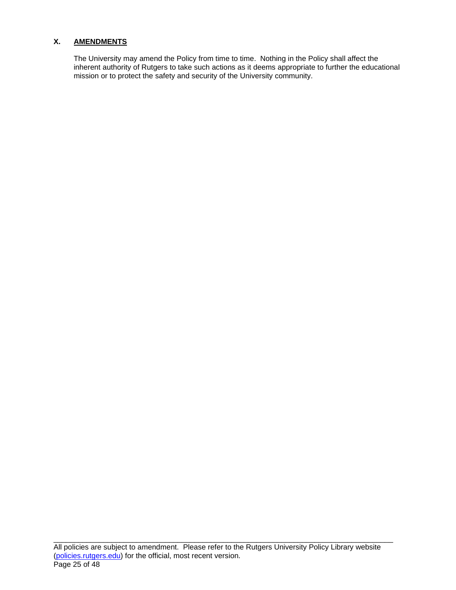# **X. AMENDMENTS**

The University may amend the Policy from time to time. Nothing in the Policy shall affect the inherent authority of Rutgers to take such actions as it deems appropriate to further the educational mission or to protect the safety and security of the University community.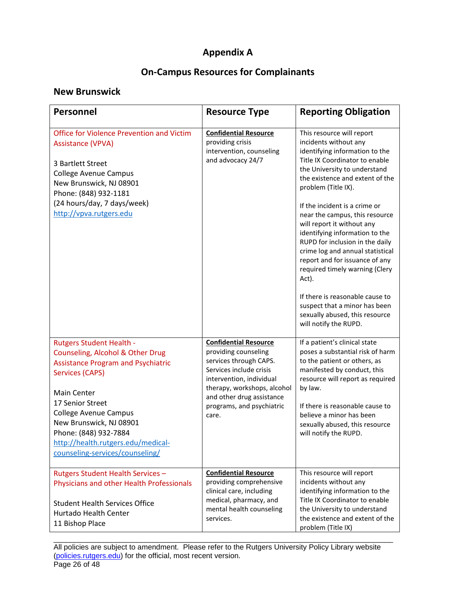# **Appendix A**

# **On-Campus Resources for Complainants**

# **New Brunswick**

| <b>Personnel</b>                                                                                                                                                                                                                                                                                                                           | <b>Resource Type</b>                                                                                                                                                                                                                    | <b>Reporting Obligation</b>                                                                                                                                                                                                                                                                                                                                                                                                                                                                                                                                                                                                            |
|--------------------------------------------------------------------------------------------------------------------------------------------------------------------------------------------------------------------------------------------------------------------------------------------------------------------------------------------|-----------------------------------------------------------------------------------------------------------------------------------------------------------------------------------------------------------------------------------------|----------------------------------------------------------------------------------------------------------------------------------------------------------------------------------------------------------------------------------------------------------------------------------------------------------------------------------------------------------------------------------------------------------------------------------------------------------------------------------------------------------------------------------------------------------------------------------------------------------------------------------------|
| <b>Office for Violence Prevention and Victim</b><br><b>Assistance (VPVA)</b><br>3 Bartlett Street<br><b>College Avenue Campus</b><br>New Brunswick, NJ 08901<br>Phone: (848) 932-1181<br>(24 hours/day, 7 days/week)<br>http://vpva.rutgers.edu                                                                                            | <b>Confidential Resource</b><br>providing crisis<br>intervention, counseling<br>and advocacy 24/7                                                                                                                                       | This resource will report<br>incidents without any<br>identifying information to the<br>Title IX Coordinator to enable<br>the University to understand<br>the existence and extent of the<br>problem (Title IX).<br>If the incident is a crime or<br>near the campus, this resource<br>will report it without any<br>identifying information to the<br>RUPD for inclusion in the daily<br>crime log and annual statistical<br>report and for issuance of any<br>required timely warning (Clery<br>Act).<br>If there is reasonable cause to<br>suspect that a minor has been<br>sexually abused, this resource<br>will notify the RUPD. |
| <b>Rutgers Student Health -</b><br>Counseling, Alcohol & Other Drug<br><b>Assistance Program and Psychiatric</b><br>Services (CAPS)<br><b>Main Center</b><br>17 Senior Street<br><b>College Avenue Campus</b><br>New Brunswick, NJ 08901<br>Phone: (848) 932-7884<br>http://health.rutgers.edu/medical-<br>counseling-services/counseling/ | <b>Confidential Resource</b><br>providing counseling<br>services through CAPS.<br>Services include crisis<br>intervention, individual<br>therapy, workshops, alcohol<br>and other drug assistance<br>programs, and psychiatric<br>care. | If a patient's clinical state<br>poses a substantial risk of harm<br>to the patient or others, as<br>manifested by conduct, this<br>resource will report as required<br>by law.<br>If there is reasonable cause to<br>believe a minor has been<br>sexually abused, this resource<br>will notify the RUPD.                                                                                                                                                                                                                                                                                                                              |
| Rutgers Student Health Services -<br>Physicians and other Health Professionals<br><b>Student Health Services Office</b><br>Hurtado Health Center<br>11 Bishop Place                                                                                                                                                                        | <b>Confidential Resource</b><br>providing comprehensive<br>clinical care, including<br>medical, pharmacy, and<br>mental health counseling<br>services.                                                                                  | This resource will report<br>incidents without any<br>identifying information to the<br>Title IX Coordinator to enable<br>the University to understand<br>the existence and extent of the<br>problem (Title IX)                                                                                                                                                                                                                                                                                                                                                                                                                        |

\_\_\_\_\_\_\_\_\_\_\_\_\_\_\_\_\_\_\_\_\_\_\_\_\_\_\_\_\_\_\_\_\_\_\_\_\_\_\_\_\_\_\_\_\_\_\_\_\_\_\_\_\_\_\_\_\_\_\_\_\_\_\_\_\_\_\_\_\_\_\_\_\_\_\_\_\_\_\_\_\_\_ All policies are subject to amendment. Please refer to the Rutgers University Policy Library website [\(policies.rutgers.edu\)](https://policies.rutgers.edu/) for the official, most recent version. Page 26 of 48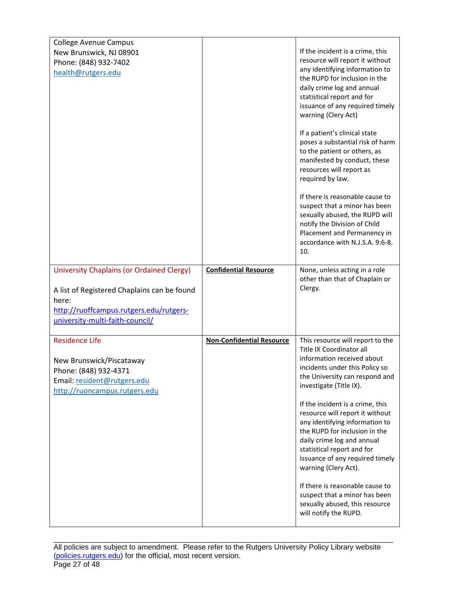| New Brunswick, NJ 08901                              |                                  | If the incident is a crime, this                                                      |
|------------------------------------------------------|----------------------------------|---------------------------------------------------------------------------------------|
| Phone: (848) 932-7402                                |                                  | resource will report it without                                                       |
| health@rutgers.edu                                   |                                  | any identifying information to<br>the RUPD for inclusion in the                       |
|                                                      |                                  | daily crime log and annual                                                            |
|                                                      |                                  | statistical report and for                                                            |
|                                                      |                                  | issuance of any required timely<br>warning (Clery Act)                                |
|                                                      |                                  | If a patient's clinical state                                                         |
|                                                      |                                  | poses a substantial risk of harm<br>to the patient or others, as                      |
|                                                      |                                  | manifested by conduct, these                                                          |
|                                                      |                                  | resources will report as<br>required by law.                                          |
|                                                      |                                  | If there is reasonable cause to                                                       |
|                                                      |                                  | suspect that a minor has been<br>sexually abused, the RUPD will                       |
|                                                      |                                  | notify the Division of Child                                                          |
|                                                      |                                  | Placement and Permanency in<br>accordance with N.J.S.A. 9:6-8.                        |
|                                                      |                                  | 10.                                                                                   |
| <b>University Chaplains (or Ordained Clergy)</b>     | <b>Confidential Resource</b>     | None, unless acting in a role                                                         |
|                                                      |                                  | other than that of Chaplain or<br>Clergy.                                             |
| A list of Registered Chaplains can be found<br>here: |                                  |                                                                                       |
| http://ruoffcampus.rutgers.edu/rutgers-              |                                  |                                                                                       |
| university-multi-faith-council/                      |                                  |                                                                                       |
|                                                      |                                  |                                                                                       |
| <b>Residence Life</b>                                | <b>Non-Confidential Resource</b> | This resource will report to the                                                      |
|                                                      |                                  | Title IX Coordinator all                                                              |
| New Brunswick/Piscataway                             |                                  | information received about<br>incidents under this Policy so                          |
| Phone: (848) 932-4371<br>Email: resident@rutgers.edu |                                  | the University can respond and                                                        |
| http://ruoncampus.rutgers.edu                        |                                  | investigate (Title IX).                                                               |
|                                                      |                                  | If the incident is a crime, this                                                      |
|                                                      |                                  | resource will report it without<br>any identifying information to                     |
|                                                      |                                  | the RUPD for inclusion in the                                                         |
|                                                      |                                  | daily crime log and annual                                                            |
|                                                      |                                  | statistical report and for<br>issuance of any required timely<br>warning (Clery Act). |
|                                                      |                                  | If there is reasonable cause to                                                       |
|                                                      |                                  | suspect that a minor has been                                                         |
|                                                      |                                  | sexually abused, this resource<br>will notify the RUPD.                               |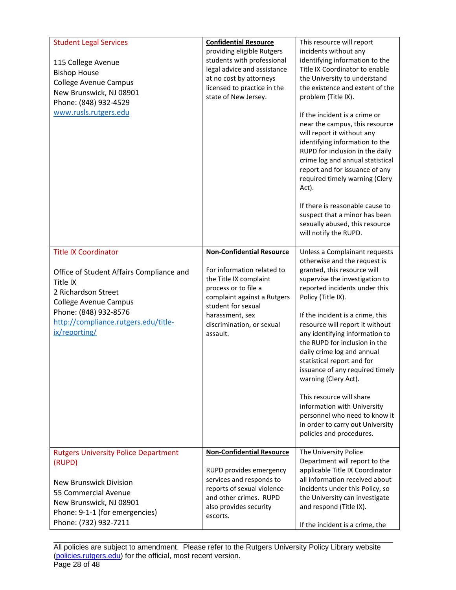| <b>Student Legal Services</b><br>115 College Avenue<br><b>Bishop House</b><br><b>College Avenue Campus</b><br>New Brunswick, NJ 08901<br>Phone: (848) 932-4529<br>www.rusls.rutgers.edu                                      | <b>Confidential Resource</b><br>providing eligible Rutgers<br>students with professional<br>legal advice and assistance<br>at no cost by attorneys<br>licensed to practice in the<br>state of New Jersey.                         | This resource will report<br>incidents without any<br>identifying information to the<br>Title IX Coordinator to enable<br>the University to understand<br>the existence and extent of the<br>problem (Title IX).<br>If the incident is a crime or<br>near the campus, this resource<br>will report it without any<br>identifying information to the<br>RUPD for inclusion in the daily<br>crime log and annual statistical<br>report and for issuance of any<br>required timely warning (Clery<br>Act).<br>If there is reasonable cause to<br>suspect that a minor has been<br>sexually abused, this resource<br>will notify the RUPD. |
|------------------------------------------------------------------------------------------------------------------------------------------------------------------------------------------------------------------------------|-----------------------------------------------------------------------------------------------------------------------------------------------------------------------------------------------------------------------------------|----------------------------------------------------------------------------------------------------------------------------------------------------------------------------------------------------------------------------------------------------------------------------------------------------------------------------------------------------------------------------------------------------------------------------------------------------------------------------------------------------------------------------------------------------------------------------------------------------------------------------------------|
| <b>Title IX Coordinator</b><br>Office of Student Affairs Compliance and<br>Title IX<br>2 Richardson Street<br><b>College Avenue Campus</b><br>Phone: (848) 932-8576<br>http://compliance.rutgers.edu/title-<br>ix/reporting/ | <b>Non-Confidential Resource</b><br>For information related to<br>the Title IX complaint<br>process or to file a<br>complaint against a Rutgers<br>student for sexual<br>harassment, sex<br>discrimination, or sexual<br>assault. | Unless a Complainant requests<br>otherwise and the request is<br>granted, this resource will<br>supervise the investigation to<br>reported incidents under this<br>Policy (Title IX).<br>If the incident is a crime, this<br>resource will report it without<br>any identifying information to<br>the RUPD for inclusion in the<br>daily crime log and annual<br>statistical report and for<br>issuance of any required timely<br>warning (Clery Act).<br>This resource will share<br>information with University<br>personnel who need to know it<br>in order to carry out University<br>policies and procedures.                     |
| <b>Rutgers University Police Department</b><br>(RUPD)<br><b>New Brunswick Division</b><br>55 Commercial Avenue<br>New Brunswick, NJ 08901<br>Phone: 9-1-1 (for emergencies)<br>Phone: (732) 932-7211                         | <b>Non-Confidential Resource</b><br>RUPD provides emergency<br>services and responds to<br>reports of sexual violence<br>and other crimes. RUPD<br>also provides security<br>escorts.                                             | The University Police<br>Department will report to the<br>applicable Title IX Coordinator<br>all information received about<br>incidents under this Policy, so<br>the University can investigate<br>and respond (Title IX).<br>If the incident is a crime, the                                                                                                                                                                                                                                                                                                                                                                         |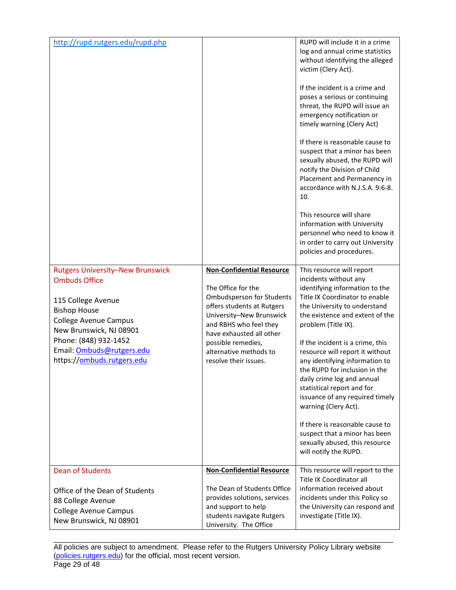| http://rupd.rutgers.edu/rupd.php                                                                                                                                                                                                                            |                                                                                                                                                                                                                                                                                     | RUPD will include it in a crime<br>log and annual crime statistics<br>without identifying the alleged<br>victim (Clery Act).<br>If the incident is a crime and<br>poses a serious or continuing<br>threat, the RUPD will issue an<br>emergency notification or<br>timely warning (Clery Act)<br>If there is reasonable cause to<br>suspect that a minor has been<br>sexually abused, the RUPD will<br>notify the Division of Child<br>Placement and Permanency in<br>accordance with N.J.S.A. 9:6-8.<br>10.<br>This resource will share<br>information with University<br>personnel who need to know it<br>in order to carry out University<br>policies and procedures. |
|-------------------------------------------------------------------------------------------------------------------------------------------------------------------------------------------------------------------------------------------------------------|-------------------------------------------------------------------------------------------------------------------------------------------------------------------------------------------------------------------------------------------------------------------------------------|-------------------------------------------------------------------------------------------------------------------------------------------------------------------------------------------------------------------------------------------------------------------------------------------------------------------------------------------------------------------------------------------------------------------------------------------------------------------------------------------------------------------------------------------------------------------------------------------------------------------------------------------------------------------------|
| <b>Rutgers University-New Brunswick</b><br><b>Ombuds Office</b><br>115 College Avenue<br><b>Bishop House</b><br><b>College Avenue Campus</b><br>New Brunswick, NJ 08901<br>Phone: (848) 932-1452<br>Email: Ombuds@rutgers.edu<br>https://ombuds.rutgers.edu | <b>Non-Confidential Resource</b><br>The Office for the<br><b>Ombudsperson for Students</b><br>offers students at Rutgers<br>University-New Brunswick<br>and RBHS who feel they<br>have exhausted all other<br>possible remedies,<br>alternative methods to<br>resolve their issues. | This resource will report<br>incidents without any<br>identifying information to the<br>Title IX Coordinator to enable<br>the University to understand<br>the existence and extent of the<br>problem (Title IX).<br>If the incident is a crime, this<br>resource will report it without<br>any identifying information to<br>the RUPD for inclusion in the<br>daily crime log and annual<br>statistical report and for<br>issuance of any required timely<br>warning (Clery Act).<br>If there is reasonable cause to<br>suspect that a minor has been<br>sexually abused, this resource<br>will notify the RUPD.                                                        |
| <b>Dean of Students</b>                                                                                                                                                                                                                                     | <b>Non-Confidential Resource</b><br>The Dean of Students Office                                                                                                                                                                                                                     | This resource will report to the<br>Title IX Coordinator all<br>information received about                                                                                                                                                                                                                                                                                                                                                                                                                                                                                                                                                                              |
| Office of the Dean of Students<br>88 College Avenue<br><b>College Avenue Campus</b><br>New Brunswick, NJ 08901                                                                                                                                              | provides solutions, services<br>and support to help<br>students navigate Rutgers<br>University. The Office                                                                                                                                                                          | incidents under this Policy so<br>the University can respond and<br>investigate (Title IX).                                                                                                                                                                                                                                                                                                                                                                                                                                                                                                                                                                             |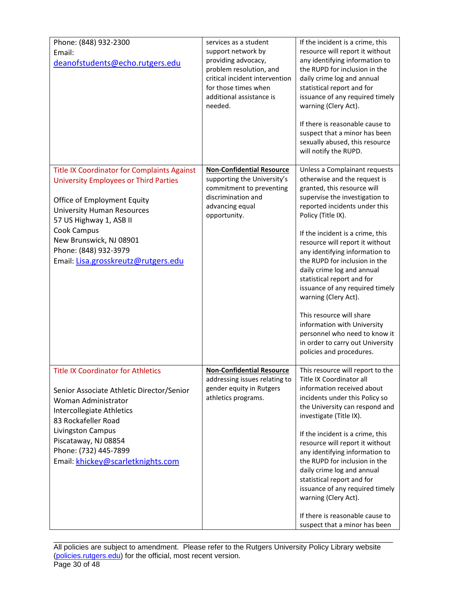| Phone: (848) 932-2300<br>Email:<br>deanofstudents@echo.rutgers.edu                                                                                                                                                                                                                                   | services as a student<br>support network by<br>providing advocacy,<br>problem resolution, and<br>critical incident intervention<br>for those times when<br>additional assistance is<br>needed. | If the incident is a crime, this<br>resource will report it without<br>any identifying information to<br>the RUPD for inclusion in the<br>daily crime log and annual<br>statistical report and for<br>issuance of any required timely<br>warning (Clery Act).<br>If there is reasonable cause to<br>suspect that a minor has been<br>sexually abused, this resource<br>will notify the RUPD.                                                                                                                                                                                                                       |
|------------------------------------------------------------------------------------------------------------------------------------------------------------------------------------------------------------------------------------------------------------------------------------------------------|------------------------------------------------------------------------------------------------------------------------------------------------------------------------------------------------|--------------------------------------------------------------------------------------------------------------------------------------------------------------------------------------------------------------------------------------------------------------------------------------------------------------------------------------------------------------------------------------------------------------------------------------------------------------------------------------------------------------------------------------------------------------------------------------------------------------------|
| Title IX Coordinator for Complaints Against<br><b>University Employees or Third Parties</b><br>Office of Employment Equity<br><b>University Human Resources</b><br>57 US Highway 1, ASB II<br>Cook Campus<br>New Brunswick, NJ 08901<br>Phone: (848) 932-3979<br>Email: Lisa.grosskreutz@rutgers.edu | <b>Non-Confidential Resource</b><br>supporting the University's<br>commitment to preventing<br>discrimination and<br>advancing equal<br>opportunity.                                           | Unless a Complainant requests<br>otherwise and the request is<br>granted, this resource will<br>supervise the investigation to<br>reported incidents under this<br>Policy (Title IX).<br>If the incident is a crime, this<br>resource will report it without<br>any identifying information to<br>the RUPD for inclusion in the<br>daily crime log and annual<br>statistical report and for<br>issuance of any required timely<br>warning (Clery Act).<br>This resource will share<br>information with University<br>personnel who need to know it<br>in order to carry out University<br>policies and procedures. |
| <b>Title IX Coordinator for Athletics</b><br>Senior Associate Athletic Director/Senior<br>Woman Administrator<br>Intercollegiate Athletics<br>83 Rockafeller Road<br>Livingston Campus<br>Piscataway, NJ 08854<br>Phone: (732) 445-7899<br>Email: khickey@scarletknights.com                         | <b>Non-Confidential Resource</b><br>addressing issues relating to<br>gender equity in Rutgers<br>athletics programs.                                                                           | This resource will report to the<br>Title IX Coordinator all<br>information received about<br>incidents under this Policy so<br>the University can respond and<br>investigate (Title IX).<br>If the incident is a crime, this<br>resource will report it without<br>any identifying information to<br>the RUPD for inclusion in the<br>daily crime log and annual<br>statistical report and for<br>issuance of any required timely<br>warning (Clery Act).<br>If there is reasonable cause to<br>suspect that a minor has been                                                                                     |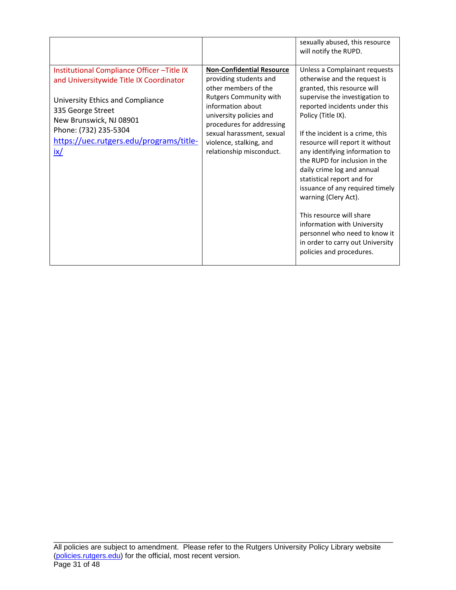|                                                                                                                                                                                                                                                            |                                                                                                                                                                                                                                                                               | sexually abused, this resource<br>will notify the RUPD.                                                                                                                                                                                                                                                                                                                                                                                                                                                                                                                                                            |
|------------------------------------------------------------------------------------------------------------------------------------------------------------------------------------------------------------------------------------------------------------|-------------------------------------------------------------------------------------------------------------------------------------------------------------------------------------------------------------------------------------------------------------------------------|--------------------------------------------------------------------------------------------------------------------------------------------------------------------------------------------------------------------------------------------------------------------------------------------------------------------------------------------------------------------------------------------------------------------------------------------------------------------------------------------------------------------------------------------------------------------------------------------------------------------|
| Institutional Compliance Officer-Title IX<br>and Universitywide Title IX Coordinator<br>University Ethics and Compliance<br>335 George Street<br>New Brunswick, NJ 08901<br>Phone: (732) 235-5304<br>https://uec.rutgers.edu/programs/title-<br><u>ix/</u> | <b>Non-Confidential Resource</b><br>providing students and<br>other members of the<br>Rutgers Community with<br>information about<br>university policies and<br>procedures for addressing<br>sexual harassment, sexual<br>violence, stalking, and<br>relationship misconduct. | Unless a Complainant requests<br>otherwise and the request is<br>granted, this resource will<br>supervise the investigation to<br>reported incidents under this<br>Policy (Title IX).<br>If the incident is a crime, this<br>resource will report it without<br>any identifying information to<br>the RUPD for inclusion in the<br>daily crime log and annual<br>statistical report and for<br>issuance of any required timely<br>warning (Clery Act).<br>This resource will share<br>information with University<br>personnel who need to know it<br>in order to carry out University<br>policies and procedures. |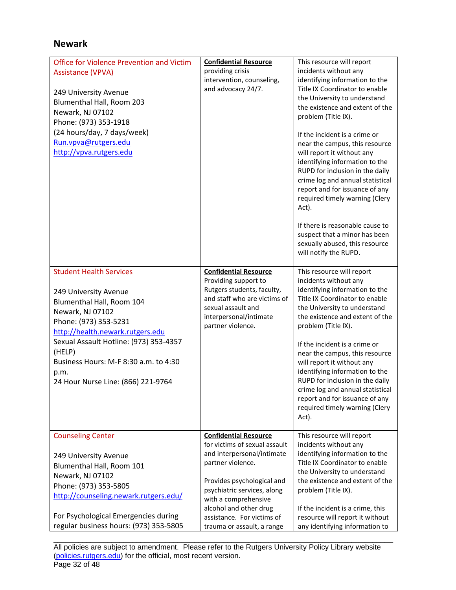# **Newark**

| <b>Office for Violence Prevention and Victim</b><br><b>Assistance (VPVA)</b><br>249 University Avenue<br>Blumenthal Hall, Room 203<br>Newark, NJ 07102<br>Phone: (973) 353-1918<br>(24 hours/day, 7 days/week)<br>Run.vpva@rutgers.edu<br>http://vpva.rutgers.edu                                                | <b>Confidential Resource</b><br>providing crisis<br>intervention, counseling,<br>and advocacy 24/7.                                                                                                                                                                                         | This resource will report<br>incidents without any<br>identifying information to the<br>Title IX Coordinator to enable<br>the University to understand<br>the existence and extent of the<br>problem (Title IX).<br>If the incident is a crime or<br>near the campus, this resource<br>will report it without any<br>identifying information to the<br>RUPD for inclusion in the daily<br>crime log and annual statistical<br>report and for issuance of any<br>required timely warning (Clery<br>Act).<br>If there is reasonable cause to<br>suspect that a minor has been<br>sexually abused, this resource<br>will notify the RUPD. |
|------------------------------------------------------------------------------------------------------------------------------------------------------------------------------------------------------------------------------------------------------------------------------------------------------------------|---------------------------------------------------------------------------------------------------------------------------------------------------------------------------------------------------------------------------------------------------------------------------------------------|----------------------------------------------------------------------------------------------------------------------------------------------------------------------------------------------------------------------------------------------------------------------------------------------------------------------------------------------------------------------------------------------------------------------------------------------------------------------------------------------------------------------------------------------------------------------------------------------------------------------------------------|
| <b>Student Health Services</b><br>249 University Avenue<br>Blumenthal Hall, Room 104<br>Newark, NJ 07102<br>Phone: (973) 353-5231<br>http://health.newark.rutgers.edu<br>Sexual Assault Hotline: (973) 353-4357<br>(HELP)<br>Business Hours: M-F 8:30 a.m. to 4:30<br>p.m.<br>24 Hour Nurse Line: (866) 221-9764 | <b>Confidential Resource</b><br>Providing support to<br>Rutgers students, faculty,<br>and staff who are victims of<br>sexual assault and<br>interpersonal/intimate<br>partner violence.                                                                                                     | This resource will report<br>incidents without any<br>identifying information to the<br>Title IX Coordinator to enable<br>the University to understand<br>the existence and extent of the<br>problem (Title IX).<br>If the incident is a crime or<br>near the campus, this resource<br>will report it without any<br>identifying information to the<br>RUPD for inclusion in the daily<br>crime log and annual statistical<br>report and for issuance of any<br>required timely warning (Clery<br>Act).                                                                                                                                |
| <b>Counseling Center</b><br>249 University Avenue<br>Blumenthal Hall, Room 101<br>Newark, NJ 07102<br>Phone: (973) 353-5805<br>http://counseling.newark.rutgers.edu/<br>For Psychological Emergencies during<br>regular business hours: (973) 353-5805                                                           | <b>Confidential Resource</b><br>for victims of sexual assault<br>and interpersonal/intimate<br>partner violence.<br>Provides psychological and<br>psychiatric services, along<br>with a comprehensive<br>alcohol and other drug<br>assistance. For victims of<br>trauma or assault, a range | This resource will report<br>incidents without any<br>identifying information to the<br>Title IX Coordinator to enable<br>the University to understand<br>the existence and extent of the<br>problem (Title IX).<br>If the incident is a crime, this<br>resource will report it without<br>any identifying information to                                                                                                                                                                                                                                                                                                              |

\_\_\_\_\_\_\_\_\_\_\_\_\_\_\_\_\_\_\_\_\_\_\_\_\_\_\_\_\_\_\_\_\_\_\_\_\_\_\_\_\_\_\_\_\_\_\_\_\_\_\_\_\_\_\_\_\_\_\_\_\_\_\_\_\_\_\_\_\_\_\_\_\_\_\_\_\_\_\_\_\_\_ All policies are subject to amendment. Please refer to the Rutgers University Policy Library website [\(policies.rutgers.edu\)](https://policies.rutgers.edu/) for the official, most recent version. Page 32 of 48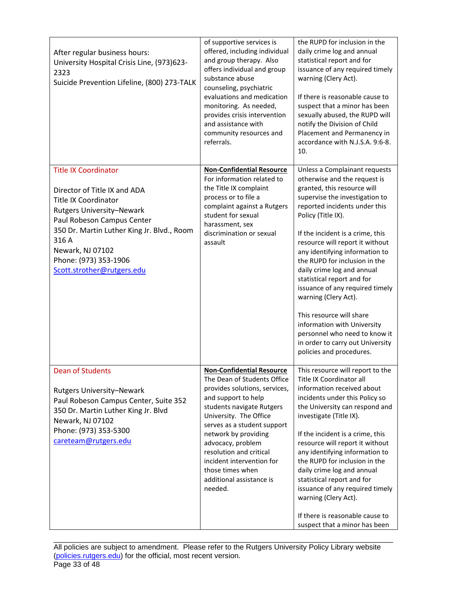| After regular business hours:<br>University Hospital Crisis Line, (973)623-<br>2323<br>Suicide Prevention Lifeline, (800) 273-TALK                                                                                                                                                             | of supportive services is<br>offered, including individual<br>and group therapy. Also<br>offers individual and group<br>substance abuse<br>counseling, psychiatric<br>evaluations and medication<br>monitoring. As needed,<br>provides crisis intervention<br>and assistance with<br>community resources and<br>referrals.                                                    | the RUPD for inclusion in the<br>daily crime log and annual<br>statistical report and for<br>issuance of any required timely<br>warning (Clery Act).<br>If there is reasonable cause to<br>suspect that a minor has been<br>sexually abused, the RUPD will<br>notify the Division of Child<br>Placement and Permanency in<br>accordance with N.J.S.A. 9:6-8.<br>10.                                                                                                                                                                                                                                                |
|------------------------------------------------------------------------------------------------------------------------------------------------------------------------------------------------------------------------------------------------------------------------------------------------|-------------------------------------------------------------------------------------------------------------------------------------------------------------------------------------------------------------------------------------------------------------------------------------------------------------------------------------------------------------------------------|--------------------------------------------------------------------------------------------------------------------------------------------------------------------------------------------------------------------------------------------------------------------------------------------------------------------------------------------------------------------------------------------------------------------------------------------------------------------------------------------------------------------------------------------------------------------------------------------------------------------|
| <b>Title IX Coordinator</b><br>Director of Title IX and ADA<br><b>Title IX Coordinator</b><br><b>Rutgers University-Newark</b><br>Paul Robeson Campus Center<br>350 Dr. Martin Luther King Jr. Blvd., Room<br>316 A<br>Newark, NJ 07102<br>Phone: (973) 353-1906<br>Scott.strother@rutgers.edu | <b>Non-Confidential Resource</b><br>For information related to<br>the Title IX complaint<br>process or to file a<br>complaint against a Rutgers<br>student for sexual<br>harassment, sex<br>discrimination or sexual<br>assault                                                                                                                                               | Unless a Complainant requests<br>otherwise and the request is<br>granted, this resource will<br>supervise the investigation to<br>reported incidents under this<br>Policy (Title IX).<br>If the incident is a crime, this<br>resource will report it without<br>any identifying information to<br>the RUPD for inclusion in the<br>daily crime log and annual<br>statistical report and for<br>issuance of any required timely<br>warning (Clery Act).<br>This resource will share<br>information with University<br>personnel who need to know it<br>in order to carry out University<br>policies and procedures. |
| <b>Dean of Students</b><br><b>Rutgers University-Newark</b><br>Paul Robeson Campus Center, Suite 352<br>350 Dr. Martin Luther King Jr. Blvd<br>Newark, NJ 07102<br>Phone: (973) 353-5300<br>careteam@rutgers.edu                                                                               | <b>Non-Confidential Resource</b><br>The Dean of Students Office<br>provides solutions, services,<br>and support to help<br>students navigate Rutgers<br>University. The Office<br>serves as a student support<br>network by providing<br>advocacy, problem<br>resolution and critical<br>incident intervention for<br>those times when<br>additional assistance is<br>needed. | This resource will report to the<br>Title IX Coordinator all<br>information received about<br>incidents under this Policy so<br>the University can respond and<br>investigate (Title IX).<br>If the incident is a crime, this<br>resource will report it without<br>any identifying information to<br>the RUPD for inclusion in the<br>daily crime log and annual<br>statistical report and for<br>issuance of any required timely<br>warning (Clery Act).<br>If there is reasonable cause to<br>suspect that a minor has been                                                                                     |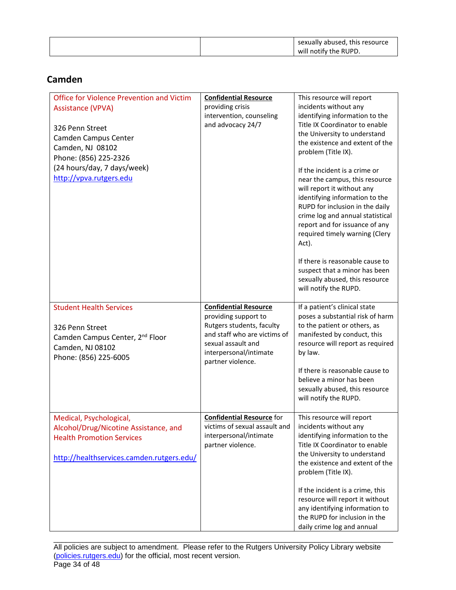|--|

# **Camden**

| <b>Office for Violence Prevention and Victim</b><br><b>Assistance (VPVA)</b><br>326 Penn Street<br>Camden Campus Center<br>Camden, NJ 08102<br>Phone: (856) 225-2326<br>(24 hours/day, 7 days/week)<br>http://vpva.rutgers.edu | <b>Confidential Resource</b><br>providing crisis<br>intervention, counseling<br>and advocacy 24/7                                                                                      | This resource will report<br>incidents without any<br>identifying information to the<br>Title IX Coordinator to enable<br>the University to understand<br>the existence and extent of the<br>problem (Title IX).<br>If the incident is a crime or<br>near the campus, this resource<br>will report it without any<br>identifying information to the<br>RUPD for inclusion in the daily<br>crime log and annual statistical<br>report and for issuance of any<br>required timely warning (Clery<br>Act).<br>If there is reasonable cause to<br>suspect that a minor has been<br>sexually abused, this resource<br>will notify the RUPD. |
|--------------------------------------------------------------------------------------------------------------------------------------------------------------------------------------------------------------------------------|----------------------------------------------------------------------------------------------------------------------------------------------------------------------------------------|----------------------------------------------------------------------------------------------------------------------------------------------------------------------------------------------------------------------------------------------------------------------------------------------------------------------------------------------------------------------------------------------------------------------------------------------------------------------------------------------------------------------------------------------------------------------------------------------------------------------------------------|
| <b>Student Health Services</b><br>326 Penn Street<br>Camden Campus Center, 2 <sup>nd</sup> Floor<br>Camden, NJ 08102<br>Phone: (856) 225-6005                                                                                  | <b>Confidential Resource</b><br>providing support to<br>Rutgers students, faculty<br>and staff who are victims of<br>sexual assault and<br>interpersonal/intimate<br>partner violence. | If a patient's clinical state<br>poses a substantial risk of harm<br>to the patient or others, as<br>manifested by conduct, this<br>resource will report as required<br>by law.<br>If there is reasonable cause to<br>believe a minor has been<br>sexually abused, this resource<br>will notify the RUPD.                                                                                                                                                                                                                                                                                                                              |
| Medical, Psychological,<br>Alcohol/Drug/Nicotine Assistance, and<br><b>Health Promotion Services</b><br>http://healthservices.camden.rutgers.edu/                                                                              | <b>Confidential Resource for</b><br>victims of sexual assault and<br>interpersonal/intimate<br>partner violence.                                                                       | This resource will report<br>incidents without any<br>identifying information to the<br>Title IX Coordinator to enable<br>the University to understand<br>the existence and extent of the<br>problem (Title IX).<br>If the incident is a crime, this<br>resource will report it without<br>any identifying information to<br>the RUPD for inclusion in the<br>daily crime log and annual                                                                                                                                                                                                                                               |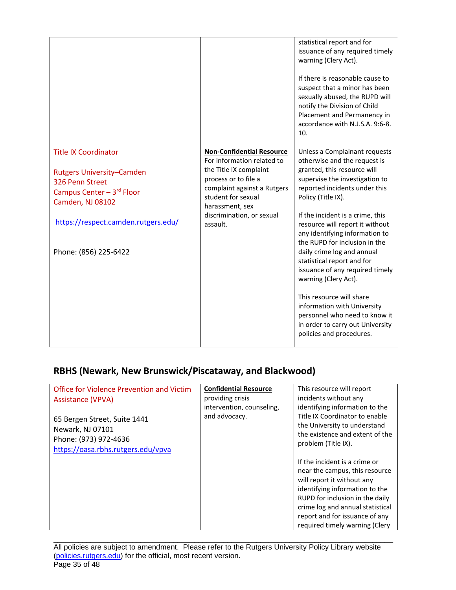|                                                                                                                                                                                                     |                                                                                                                                                                                                                                   | statistical report and for<br>issuance of any required timely<br>warning (Clery Act).<br>If there is reasonable cause to<br>suspect that a minor has been<br>sexually abused, the RUPD will<br>notify the Division of Child<br>Placement and Permanency in<br>accordance with N.J.S.A. 9:6-8.<br>10.                                                                                                                                                                                                                                                                                                               |
|-----------------------------------------------------------------------------------------------------------------------------------------------------------------------------------------------------|-----------------------------------------------------------------------------------------------------------------------------------------------------------------------------------------------------------------------------------|--------------------------------------------------------------------------------------------------------------------------------------------------------------------------------------------------------------------------------------------------------------------------------------------------------------------------------------------------------------------------------------------------------------------------------------------------------------------------------------------------------------------------------------------------------------------------------------------------------------------|
| <b>Title IX Coordinator</b><br><b>Rutgers University–Camden</b><br>326 Penn Street<br>Campus Center - 3rd Floor<br>Camden, NJ 08102<br>https://respect.camden.rutgers.edu/<br>Phone: (856) 225-6422 | <b>Non-Confidential Resource</b><br>For information related to<br>the Title IX complaint<br>process or to file a<br>complaint against a Rutgers<br>student for sexual<br>harassment, sex<br>discrimination, or sexual<br>assault. | Unless a Complainant requests<br>otherwise and the request is<br>granted, this resource will<br>supervise the investigation to<br>reported incidents under this<br>Policy (Title IX).<br>If the incident is a crime, this<br>resource will report it without<br>any identifying information to<br>the RUPD for inclusion in the<br>daily crime log and annual<br>statistical report and for<br>issuance of any required timely<br>warning (Clery Act).<br>This resource will share<br>information with University<br>personnel who need to know it<br>in order to carry out University<br>policies and procedures. |

# **RBHS (Newark, New Brunswick/Piscataway, and Blackwood)**

| Office for Violence Prevention and Victim | <b>Confidential Resource</b> | This resource will report        |
|-------------------------------------------|------------------------------|----------------------------------|
| <b>Assistance (VPVA)</b>                  | providing crisis             | incidents without any            |
|                                           | intervention, counseling,    | identifying information to the   |
| 65 Bergen Street, Suite 1441              | and advocacy.                | Title IX Coordinator to enable   |
| Newark, NJ 07101                          |                              | the University to understand     |
| Phone: (973) 972-4636                     |                              | the existence and extent of the  |
| https://oasa.rbhs.rutgers.edu/vpva        |                              | problem (Title IX).              |
|                                           |                              |                                  |
|                                           |                              | If the incident is a crime or    |
|                                           |                              | near the campus, this resource   |
|                                           |                              | will report it without any       |
|                                           |                              | identifying information to the   |
|                                           |                              | RUPD for inclusion in the daily  |
|                                           |                              | crime log and annual statistical |
|                                           |                              | report and for issuance of any   |
|                                           |                              | required timely warning (Clery   |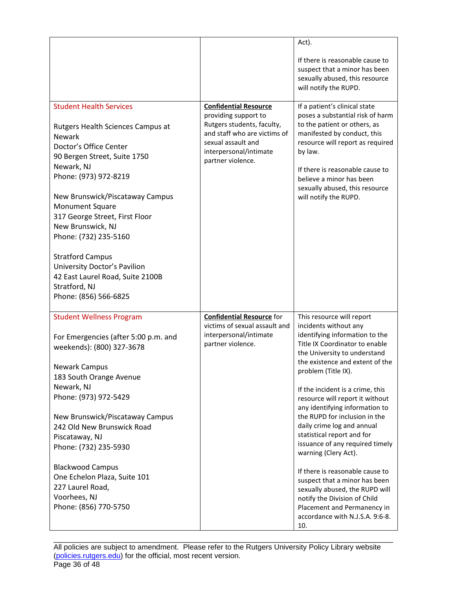|                                                                                                                                                     |                                                                                                                                                         | Act).                                                                                                                                                                                                                                           |
|-----------------------------------------------------------------------------------------------------------------------------------------------------|---------------------------------------------------------------------------------------------------------------------------------------------------------|-------------------------------------------------------------------------------------------------------------------------------------------------------------------------------------------------------------------------------------------------|
|                                                                                                                                                     |                                                                                                                                                         | If there is reasonable cause to<br>suspect that a minor has been<br>sexually abused, this resource<br>will notify the RUPD.                                                                                                                     |
| <b>Student Health Services</b>                                                                                                                      | <b>Confidential Resource</b>                                                                                                                            | If a patient's clinical state                                                                                                                                                                                                                   |
| Rutgers Health Sciences Campus at<br><b>Newark</b><br>Doctor's Office Center<br>90 Bergen Street, Suite 1750<br>Newark, NJ<br>Phone: (973) 972-8219 | providing support to<br>Rutgers students, faculty,<br>and staff who are victims of<br>sexual assault and<br>interpersonal/intimate<br>partner violence. | poses a substantial risk of harm<br>to the patient or others, as<br>manifested by conduct, this<br>resource will report as required<br>by law.<br>If there is reasonable cause to<br>believe a minor has been<br>sexually abused, this resource |
| New Brunswick/Piscataway Campus                                                                                                                     |                                                                                                                                                         | will notify the RUPD.                                                                                                                                                                                                                           |
| <b>Monument Square</b>                                                                                                                              |                                                                                                                                                         |                                                                                                                                                                                                                                                 |
| 317 George Street, First Floor<br>New Brunswick, NJ                                                                                                 |                                                                                                                                                         |                                                                                                                                                                                                                                                 |
| Phone: (732) 235-5160                                                                                                                               |                                                                                                                                                         |                                                                                                                                                                                                                                                 |
| <b>Stratford Campus</b><br>University Doctor's Pavilion<br>42 East Laurel Road, Suite 2100B<br>Stratford, NJ<br>Phone: (856) 566-6825               |                                                                                                                                                         |                                                                                                                                                                                                                                                 |
| <b>Student Wellness Program</b>                                                                                                                     | <b>Confidential Resource for</b><br>victims of sexual assault and                                                                                       | This resource will report<br>incidents without any                                                                                                                                                                                              |
| For Emergencies (after 5:00 p.m. and<br>weekends): (800) 327-3678<br><b>Newark Campus</b><br>183 South Orange Avenue                                | interpersonal/intimate<br>partner violence.                                                                                                             | identifying information to the<br>Title IX Coordinator to enable<br>the University to understand<br>the existence and extent of the<br>problem (Title IX).                                                                                      |
| Newark, NJ                                                                                                                                          |                                                                                                                                                         | If the incident is a crime, this                                                                                                                                                                                                                |
| Phone: (973) 972-5429                                                                                                                               |                                                                                                                                                         | resource will report it without                                                                                                                                                                                                                 |
| New Brunswick/Piscataway Campus<br>242 Old New Brunswick Road<br>Piscataway, NJ<br>Phone: (732) 235-5930                                            |                                                                                                                                                         | any identifying information to<br>the RUPD for inclusion in the<br>daily crime log and annual<br>statistical report and for<br>issuance of any required timely<br>warning (Clery Act).                                                          |
| <b>Blackwood Campus</b><br>One Echelon Plaza, Suite 101<br>227 Laurel Road,<br>Voorhees, NJ<br>Phone: (856) 770-5750                                |                                                                                                                                                         | If there is reasonable cause to<br>suspect that a minor has been<br>sexually abused, the RUPD will<br>notify the Division of Child<br>Placement and Permanency in<br>accordance with N.J.S.A. 9:6-8.<br>10.                                     |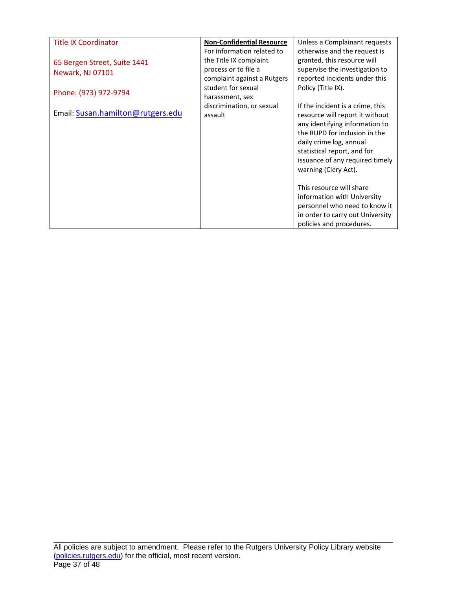| <b>Title IX Coordinator</b>       | <b>Non-Confidential Resource</b> | Unless a Complainant requests    |
|-----------------------------------|----------------------------------|----------------------------------|
|                                   | For information related to       | otherwise and the request is     |
| 65 Bergen Street, Suite 1441      | the Title IX complaint           | granted, this resource will      |
| Newark, NJ 07101                  | process or to file a             | supervise the investigation to   |
|                                   | complaint against a Rutgers      | reported incidents under this    |
| Phone: (973) 972-9794             | student for sexual               | Policy (Title IX).               |
|                                   | harassment, sex                  |                                  |
|                                   | discrimination, or sexual        | If the incident is a crime, this |
| Email: Susan.hamilton@rutgers.edu | assault                          | resource will report it without  |
|                                   |                                  | any identifying information to   |
|                                   |                                  | the RUPD for inclusion in the    |
|                                   |                                  | daily crime log, annual          |
|                                   |                                  | statistical report, and for      |
|                                   |                                  | issuance of any required timely  |
|                                   |                                  | warning (Clery Act).             |
|                                   |                                  |                                  |
|                                   |                                  | This resource will share         |
|                                   |                                  | information with University      |
|                                   |                                  | personnel who need to know it    |
|                                   |                                  | in order to carry out University |
|                                   |                                  | policies and procedures.         |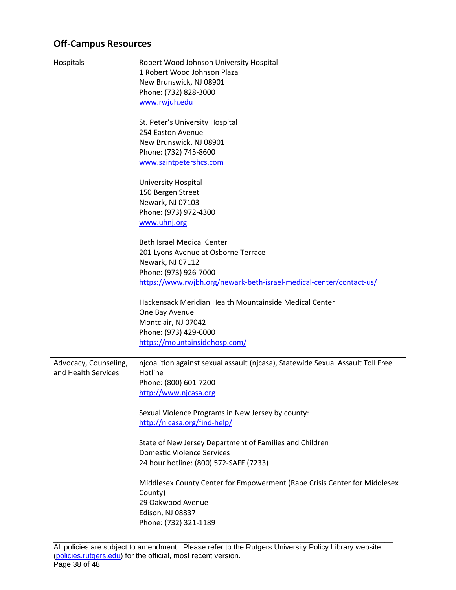# **Off-Campus Resources**

| Hospitals             | Robert Wood Johnson University Hospital                                         |
|-----------------------|---------------------------------------------------------------------------------|
|                       | 1 Robert Wood Johnson Plaza                                                     |
|                       | New Brunswick, NJ 08901                                                         |
|                       | Phone: (732) 828-3000                                                           |
|                       | www.rwjuh.edu                                                                   |
|                       |                                                                                 |
|                       | St. Peter's University Hospital                                                 |
|                       | 254 Easton Avenue                                                               |
|                       | New Brunswick, NJ 08901                                                         |
|                       | Phone: (732) 745-8600                                                           |
|                       | www.saintpetershcs.com                                                          |
|                       |                                                                                 |
|                       | University Hospital                                                             |
|                       | 150 Bergen Street                                                               |
|                       | Newark, NJ 07103                                                                |
|                       | Phone: (973) 972-4300                                                           |
|                       | www.uhnj.org                                                                    |
|                       |                                                                                 |
|                       | <b>Beth Israel Medical Center</b>                                               |
|                       | 201 Lyons Avenue at Osborne Terrace                                             |
|                       | Newark, NJ 07112                                                                |
|                       | Phone: (973) 926-7000                                                           |
|                       | https://www.rwjbh.org/newark-beth-israel-medical-center/contact-us/             |
|                       |                                                                                 |
|                       | Hackensack Meridian Health Mountainside Medical Center                          |
|                       | One Bay Avenue                                                                  |
|                       | Montclair, NJ 07042                                                             |
|                       | Phone: (973) 429-6000                                                           |
|                       | https://mountainsidehosp.com/                                                   |
|                       |                                                                                 |
| Advocacy, Counseling, | njcoalition against sexual assault (njcasa), Statewide Sexual Assault Toll Free |
| and Health Services   | Hotline                                                                         |
|                       | Phone: (800) 601-7200                                                           |
|                       | http://www.njcasa.org                                                           |
|                       |                                                                                 |
|                       | Sexual Violence Programs in New Jersey by county:                               |
|                       | http://njcasa.org/find-help/                                                    |
|                       |                                                                                 |
|                       | State of New Jersey Department of Families and Children                         |
|                       | <b>Domestic Violence Services</b>                                               |
|                       | 24 hour hotline: (800) 572-SAFE (7233)                                          |
|                       |                                                                                 |
|                       | Middlesex County Center for Empowerment (Rape Crisis Center for Middlesex       |
|                       | County)                                                                         |
|                       | 29 Oakwood Avenue                                                               |
|                       | Edison, NJ 08837                                                                |
|                       | Phone: (732) 321-1189                                                           |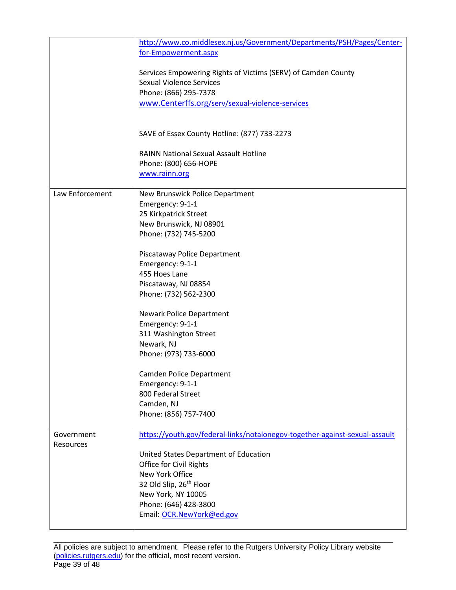|                 | http://www.co.middlesex.nj.us/Government/Departments/PSH/Pages/Center-      |
|-----------------|-----------------------------------------------------------------------------|
|                 | for-Empowerment.aspx                                                        |
|                 |                                                                             |
|                 | Services Empowering Rights of Victims (SERV) of Camden County               |
|                 | <b>Sexual Violence Services</b>                                             |
|                 | Phone: (866) 295-7378                                                       |
|                 | www.Centerffs.org/serv/sexual-violence-services                             |
|                 |                                                                             |
|                 |                                                                             |
|                 | SAVE of Essex County Hotline: (877) 733-2273                                |
|                 |                                                                             |
|                 | <b>RAINN National Sexual Assault Hotline</b>                                |
|                 | Phone: (800) 656-HOPE                                                       |
|                 | www.rainn.org                                                               |
|                 |                                                                             |
| Law Enforcement | New Brunswick Police Department                                             |
|                 | Emergency: 9-1-1                                                            |
|                 | 25 Kirkpatrick Street                                                       |
|                 | New Brunswick, NJ 08901                                                     |
|                 | Phone: (732) 745-5200                                                       |
|                 |                                                                             |
|                 | Piscataway Police Department                                                |
|                 | Emergency: 9-1-1                                                            |
|                 | 455 Hoes Lane                                                               |
|                 | Piscataway, NJ 08854                                                        |
|                 | Phone: (732) 562-2300                                                       |
|                 |                                                                             |
|                 | <b>Newark Police Department</b>                                             |
|                 | Emergency: 9-1-1                                                            |
|                 | 311 Washington Street                                                       |
|                 | Newark, NJ                                                                  |
|                 | Phone: (973) 733-6000                                                       |
|                 |                                                                             |
|                 | <b>Camden Police Department</b>                                             |
|                 | Emergency: 9-1-1                                                            |
|                 | 800 Federal Street                                                          |
|                 | Camden, NJ                                                                  |
|                 | Phone: (856) 757-7400                                                       |
|                 |                                                                             |
| Government      | https://youth.gov/federal-links/notalonegov-together-against-sexual-assault |
| Resources       |                                                                             |
|                 | United States Department of Education                                       |
|                 | Office for Civil Rights                                                     |
|                 | New York Office                                                             |
|                 | 32 Old Slip, 26th Floor                                                     |
|                 | New York, NY 10005                                                          |
|                 | Phone: (646) 428-3800                                                       |
|                 | Email: OCR.NewYork@ed.gov                                                   |
|                 |                                                                             |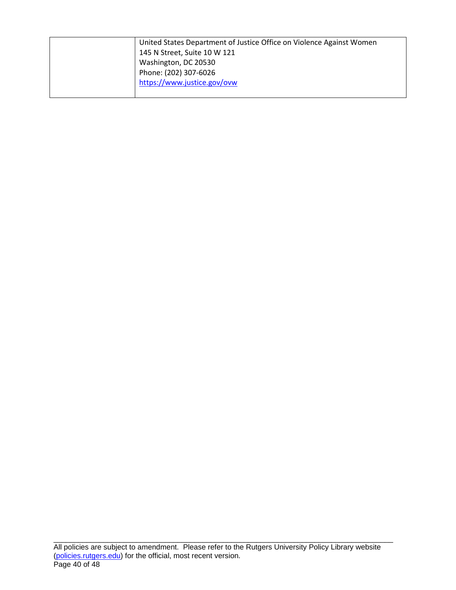| United States Department of Justice Office on Violence Against Women |
|----------------------------------------------------------------------|
| 145 N Street, Suite 10 W 121                                         |
| Washington, DC 20530                                                 |
| Phone: (202) 307-6026                                                |
| https://www.justice.gov/ovw                                          |
|                                                                      |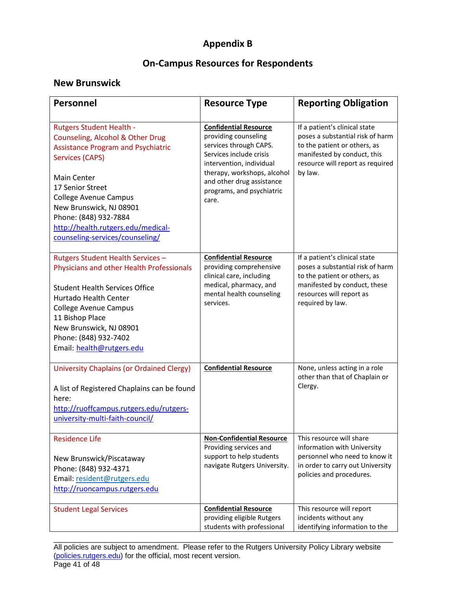# **Appendix B**

# **On-Campus Resources for Respondents**

# **New Brunswick**

| Personnel                                                                                                                                                                                                                                                                                                                                  | <b>Resource Type</b>                                                                                                                                                                                                                    | <b>Reporting Obligation</b>                                                                                                                                                       |
|--------------------------------------------------------------------------------------------------------------------------------------------------------------------------------------------------------------------------------------------------------------------------------------------------------------------------------------------|-----------------------------------------------------------------------------------------------------------------------------------------------------------------------------------------------------------------------------------------|-----------------------------------------------------------------------------------------------------------------------------------------------------------------------------------|
| <b>Rutgers Student Health -</b><br>Counseling, Alcohol & Other Drug<br><b>Assistance Program and Psychiatric</b><br>Services (CAPS)<br><b>Main Center</b><br>17 Senior Street<br><b>College Avenue Campus</b><br>New Brunswick, NJ 08901<br>Phone: (848) 932-7884<br>http://health.rutgers.edu/medical-<br>counseling-services/counseling/ | <b>Confidential Resource</b><br>providing counseling<br>services through CAPS.<br>Services include crisis<br>intervention, individual<br>therapy, workshops, alcohol<br>and other drug assistance<br>programs, and psychiatric<br>care. | If a patient's clinical state<br>poses a substantial risk of harm<br>to the patient or others, as<br>manifested by conduct, this<br>resource will report as required<br>by law.   |
| Rutgers Student Health Services -<br>Physicians and other Health Professionals<br><b>Student Health Services Office</b><br><b>Hurtado Health Center</b><br><b>College Avenue Campus</b><br>11 Bishop Place<br>New Brunswick, NJ 08901<br>Phone: (848) 932-7402<br>Email: health@rutgers.edu                                                | <b>Confidential Resource</b><br>providing comprehensive<br>clinical care, including<br>medical, pharmacy, and<br>mental health counseling<br>services.                                                                                  | If a patient's clinical state<br>poses a substantial risk of harm<br>to the patient or others, as<br>manifested by conduct, these<br>resources will report as<br>required by law. |
| <b>University Chaplains (or Ordained Clergy)</b><br>A list of Registered Chaplains can be found<br>here:<br>http://ruoffcampus.rutgers.edu/rutgers-<br>university-multi-faith-council/                                                                                                                                                     | <b>Confidential Resource</b>                                                                                                                                                                                                            | None, unless acting in a role<br>other than that of Chaplain or<br>Clergy.                                                                                                        |
| <b>Residence Life</b><br>New Brunswick/Piscataway<br>Phone: (848) 932-4371<br>Email: resident@rutgers.edu<br>http://ruoncampus.rutgers.edu                                                                                                                                                                                                 | <b>Non-Confidential Resource</b><br>Providing services and<br>support to help students<br>navigate Rutgers University.                                                                                                                  | This resource will share<br>information with University<br>personnel who need to know it<br>in order to carry out University<br>policies and procedures.                          |
| <b>Student Legal Services</b>                                                                                                                                                                                                                                                                                                              | <b>Confidential Resource</b><br>providing eligible Rutgers<br>students with professional                                                                                                                                                | This resource will report<br>incidents without any<br>identifying information to the                                                                                              |

\_\_\_\_\_\_\_\_\_\_\_\_\_\_\_\_\_\_\_\_\_\_\_\_\_\_\_\_\_\_\_\_\_\_\_\_\_\_\_\_\_\_\_\_\_\_\_\_\_\_\_\_\_\_\_\_\_\_\_\_\_\_\_\_\_\_\_\_\_\_\_\_\_\_\_\_\_\_\_\_\_\_ All policies are subject to amendment. Please refer to the Rutgers University Policy Library website [\(policies.rutgers.edu\)](https://policies.rutgers.edu/) for the official, most recent version. Page 41 of 48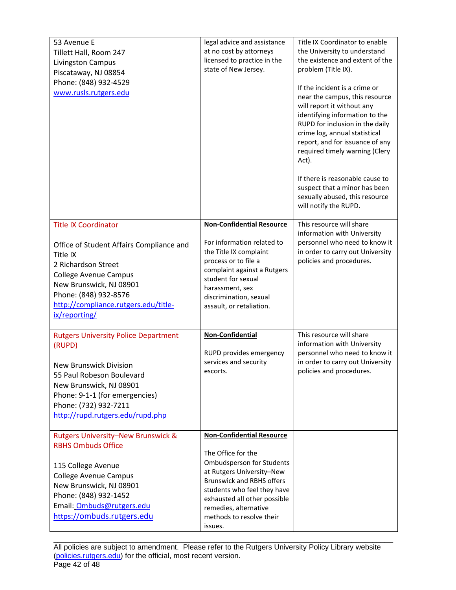| 53 Avenue E<br>Tillett Hall, Room 247<br>Livingston Campus<br>Piscataway, NJ 08854<br>Phone: (848) 932-4529<br>www.rusls.rutgers.edu                                                                                                                    | legal advice and assistance<br>at no cost by attorneys<br>licensed to practice in the<br>state of New Jersey.                                                                                                                                                                              | Title IX Coordinator to enable<br>the University to understand<br>the existence and extent of the<br>problem (Title IX).<br>If the incident is a crime or<br>near the campus, this resource<br>will report it without any<br>identifying information to the<br>RUPD for inclusion in the daily<br>crime log, annual statistical<br>report, and for issuance of any<br>required timely warning (Clery<br>Act).<br>If there is reasonable cause to<br>suspect that a minor has been<br>sexually abused, this resource<br>will notify the RUPD. |
|---------------------------------------------------------------------------------------------------------------------------------------------------------------------------------------------------------------------------------------------------------|--------------------------------------------------------------------------------------------------------------------------------------------------------------------------------------------------------------------------------------------------------------------------------------------|----------------------------------------------------------------------------------------------------------------------------------------------------------------------------------------------------------------------------------------------------------------------------------------------------------------------------------------------------------------------------------------------------------------------------------------------------------------------------------------------------------------------------------------------|
| <b>Title IX Coordinator</b><br>Office of Student Affairs Compliance and<br>Title IX<br>2 Richardson Street<br><b>College Avenue Campus</b><br>New Brunswick, NJ 08901<br>Phone: (848) 932-8576<br>http://compliance.rutgers.edu/title-<br>ix/reporting/ | <b>Non-Confidential Resource</b><br>For information related to<br>the Title IX complaint<br>process or to file a<br>complaint against a Rutgers<br>student for sexual<br>harassment, sex<br>discrimination, sexual<br>assault, or retaliation.                                             | This resource will share<br>information with University<br>personnel who need to know it<br>in order to carry out University<br>policies and procedures.                                                                                                                                                                                                                                                                                                                                                                                     |
| <b>Rutgers University Police Department</b><br>(RUPD)<br><b>New Brunswick Division</b><br>55 Paul Robeson Boulevard<br>New Brunswick, NJ 08901<br>Phone: 9-1-1 (for emergencies)<br>Phone: (732) 932-7211<br>http://rupd.rutgers.edu/rupd.php           | <b>Non-Confidential</b><br>RUPD provides emergency<br>services and security<br>escorts.                                                                                                                                                                                                    | This resource will share<br>information with University<br>personnel who need to know it<br>in order to carry out University<br>policies and procedures.                                                                                                                                                                                                                                                                                                                                                                                     |
| <b>Rutgers University-New Brunswick &amp;</b><br><b>RBHS Ombuds Office</b><br>115 College Avenue<br><b>College Avenue Campus</b><br>New Brunswick, NJ 08901<br>Phone: (848) 932-1452<br>Email: Ombuds@rutgers.edu<br>https://ombuds.rutgers.edu         | <b>Non-Confidential Resource</b><br>The Office for the<br><b>Ombudsperson for Students</b><br>at Rutgers University-New<br><b>Brunswick and RBHS offers</b><br>students who feel they have<br>exhausted all other possible<br>remedies, alternative<br>methods to resolve their<br>issues. |                                                                                                                                                                                                                                                                                                                                                                                                                                                                                                                                              |

\_\_\_\_\_\_\_\_\_\_\_\_\_\_\_\_\_\_\_\_\_\_\_\_\_\_\_\_\_\_\_\_\_\_\_\_\_\_\_\_\_\_\_\_\_\_\_\_\_\_\_\_\_\_\_\_\_\_\_\_\_\_\_\_\_\_\_\_\_\_\_\_\_\_\_\_\_\_\_\_\_\_ All policies are subject to amendment. Please refer to the Rutgers University Policy Library website [\(policies.rutgers.edu\)](https://policies.rutgers.edu/) for the official, most recent version. Page 42 of 48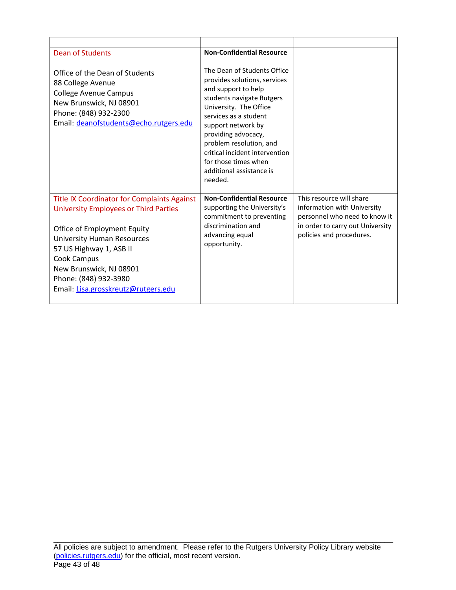| <b>Dean of Students</b>                                                                                                                                                                                                                                                                                     | <b>Non-Confidential Resource</b>                                                                                                                                                                                                                                                                                                            |                                                                                                                                                          |
|-------------------------------------------------------------------------------------------------------------------------------------------------------------------------------------------------------------------------------------------------------------------------------------------------------------|---------------------------------------------------------------------------------------------------------------------------------------------------------------------------------------------------------------------------------------------------------------------------------------------------------------------------------------------|----------------------------------------------------------------------------------------------------------------------------------------------------------|
| Office of the Dean of Students<br>88 College Avenue<br><b>College Avenue Campus</b><br>New Brunswick, NJ 08901<br>Phone: (848) 932-2300<br>Email: deanofstudents@echo.rutgers.edu                                                                                                                           | The Dean of Students Office<br>provides solutions, services<br>and support to help<br>students navigate Rutgers<br>University. The Office<br>services as a student<br>support network by<br>providing advocacy,<br>problem resolution, and<br>critical incident intervention<br>for those times when<br>additional assistance is<br>needed. |                                                                                                                                                          |
| <b>Title IX Coordinator for Complaints Against</b><br><b>University Employees or Third Parties</b><br>Office of Employment Equity<br><b>University Human Resources</b><br>57 US Highway 1, ASB II<br>Cook Campus<br>New Brunswick, NJ 08901<br>Phone: (848) 932-3980<br>Email: Lisa.grosskreutz@rutgers.edu | <b>Non-Confidential Resource</b><br>supporting the University's<br>commitment to preventing<br>discrimination and<br>advancing equal<br>opportunity.                                                                                                                                                                                        | This resource will share<br>information with University<br>personnel who need to know it<br>in order to carry out University<br>policies and procedures. |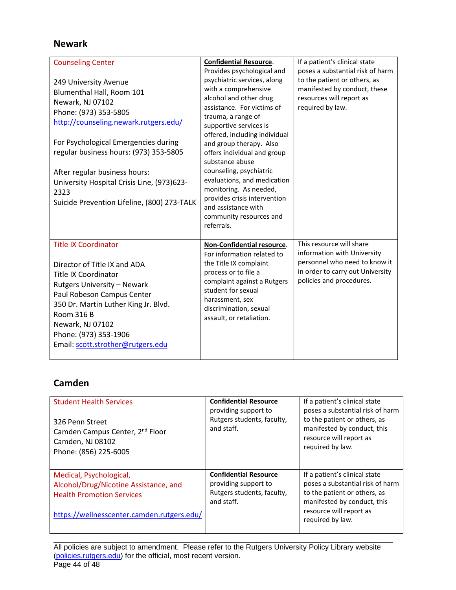# **Newark**

| <b>Counseling Center</b><br>249 University Avenue<br>Blumenthal Hall, Room 101<br>Newark, NJ 07102<br>Phone: (973) 353-5805<br>http://counseling.newark.rutgers.edu/<br>For Psychological Emergencies during<br>regular business hours: (973) 353-5805<br>After regular business hours:<br>University Hospital Crisis Line, (973)623-<br>2323<br>Suicide Prevention Lifeline, (800) 273-TALK | <b>Confidential Resource.</b><br>Provides psychological and<br>psychiatric services, along<br>with a comprehensive<br>alcohol and other drug<br>assistance. For victims of<br>trauma, a range of<br>supportive services is<br>offered, including individual<br>and group therapy. Also<br>offers individual and group<br>substance abuse<br>counseling, psychiatric<br>evaluations, and medication<br>monitoring. As needed,<br>provides crisis intervention<br>and assistance with<br>community resources and<br>referrals. | If a patient's clinical state<br>poses a substantial risk of harm<br>to the patient or others, as<br>manifested by conduct, these<br>resources will report as<br>required by law. |
|----------------------------------------------------------------------------------------------------------------------------------------------------------------------------------------------------------------------------------------------------------------------------------------------------------------------------------------------------------------------------------------------|------------------------------------------------------------------------------------------------------------------------------------------------------------------------------------------------------------------------------------------------------------------------------------------------------------------------------------------------------------------------------------------------------------------------------------------------------------------------------------------------------------------------------|-----------------------------------------------------------------------------------------------------------------------------------------------------------------------------------|
| <b>Title IX Coordinator</b><br>Director of Title IX and ADA<br><b>Title IX Coordinator</b><br><b>Rutgers University - Newark</b><br>Paul Robeson Campus Center<br>350 Dr. Martin Luther King Jr. Blvd.<br><b>Room 316 B</b><br>Newark, NJ 07102<br>Phone: (973) 353-1906<br>Email: scott.strother@rutgers.edu                                                                                | Non-Confidential resource.<br>For information related to<br>the Title IX complaint<br>process or to file a<br>complaint against a Rutgers<br>student for sexual<br>harassment, sex<br>discrimination, sexual<br>assault, or retaliation.                                                                                                                                                                                                                                                                                     | This resource will share<br>information with University<br>personnel who need to know it<br>in order to carry out University<br>policies and procedures.                          |

# **Camden**

| <b>Student Health Services</b><br>326 Penn Street<br>Camden Campus Center, 2 <sup>nd</sup> Floor<br>Camden, NJ 08102<br>Phone: (856) 225-6005      | <b>Confidential Resource</b><br>providing support to<br>Rutgers students, faculty,<br>and staff. | If a patient's clinical state<br>poses a substantial risk of harm<br>to the patient or others, as<br>manifested by conduct, this<br>resource will report as<br>required by law. |
|----------------------------------------------------------------------------------------------------------------------------------------------------|--------------------------------------------------------------------------------------------------|---------------------------------------------------------------------------------------------------------------------------------------------------------------------------------|
| Medical, Psychological,<br>Alcohol/Drug/Nicotine Assistance, and<br><b>Health Promotion Services</b><br>https://wellnesscenter.camden.rutgers.edu/ | <b>Confidential Resource</b><br>providing support to<br>Rutgers students, faculty,<br>and staff. | If a patient's clinical state<br>poses a substantial risk of harm<br>to the patient or others, as<br>manifested by conduct, this<br>resource will report as<br>required by law. |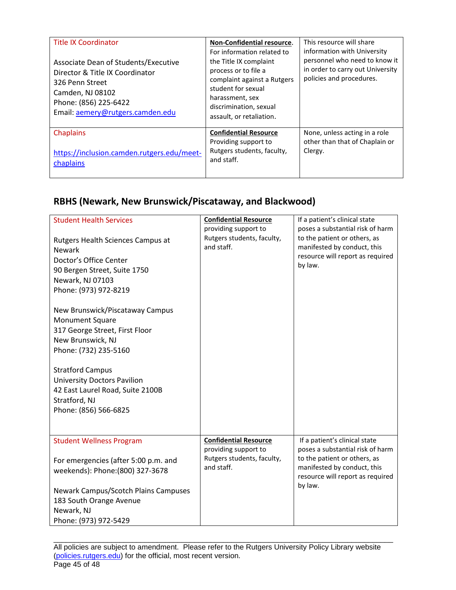| <b>Title IX Coordinator</b><br>Associate Dean of Students/Executive<br>Director & Title IX Coordinator<br>326 Penn Street<br>Camden, NJ 08102<br>Phone: (856) 225-6422<br>Email: aemery@rutgers.camden.edu | Non-Confidential resource.<br>For information related to<br>the Title IX complaint<br>process or to file a<br>complaint against a Rutgers<br>student for sexual<br>harassment, sex<br>discrimination, sexual<br>assault, or retaliation. | This resource will share<br>information with University<br>personnel who need to know it<br>in order to carry out University<br>policies and procedures. |
|------------------------------------------------------------------------------------------------------------------------------------------------------------------------------------------------------------|------------------------------------------------------------------------------------------------------------------------------------------------------------------------------------------------------------------------------------------|----------------------------------------------------------------------------------------------------------------------------------------------------------|
| <b>Chaplains</b><br>https://inclusion.camden.rutgers.edu/meet-                                                                                                                                             | <b>Confidential Resource</b><br>Providing support to<br>Rutgers students, faculty,<br>and staff.                                                                                                                                         | None, unless acting in a role<br>other than that of Chaplain or<br>Clergy.                                                                               |
| chaplains                                                                                                                                                                                                  |                                                                                                                                                                                                                                          |                                                                                                                                                          |

# **RBHS (Newark, New Brunswick/Piscataway, and Blackwood)**

| <b>Student Health Services</b><br>Rutgers Health Sciences Campus at<br><b>Newark</b><br>Doctor's Office Center<br>90 Bergen Street, Suite 1750<br>Newark, NJ 07103<br>Phone: (973) 972-8219<br>New Brunswick/Piscataway Campus<br><b>Monument Square</b><br>317 George Street, First Floor<br>New Brunswick, NJ<br>Phone: (732) 235-5160<br><b>Stratford Campus</b><br><b>University Doctors Pavilion</b><br>42 East Laurel Road, Suite 2100B<br>Stratford, NJ<br>Phone: (856) 566-6825 | <b>Confidential Resource</b><br>providing support to<br>Rutgers students, faculty,<br>and staff. | If a patient's clinical state<br>poses a substantial risk of harm<br>to the patient or others, as<br>manifested by conduct, this<br>resource will report as required<br>by law. |
|-----------------------------------------------------------------------------------------------------------------------------------------------------------------------------------------------------------------------------------------------------------------------------------------------------------------------------------------------------------------------------------------------------------------------------------------------------------------------------------------|--------------------------------------------------------------------------------------------------|---------------------------------------------------------------------------------------------------------------------------------------------------------------------------------|
| <b>Student Wellness Program</b><br>For emergencies (after 5:00 p.m. and<br>weekends): Phone: (800) 327-3678<br>Newark Campus/Scotch Plains Campuses<br>183 South Orange Avenue<br>Newark, NJ<br>Phone: (973) 972-5429                                                                                                                                                                                                                                                                   | <b>Confidential Resource</b><br>providing support to<br>Rutgers students, faculty,<br>and staff. | If a patient's clinical state<br>poses a substantial risk of harm<br>to the patient or others, as<br>manifested by conduct, this<br>resource will report as required<br>by law. |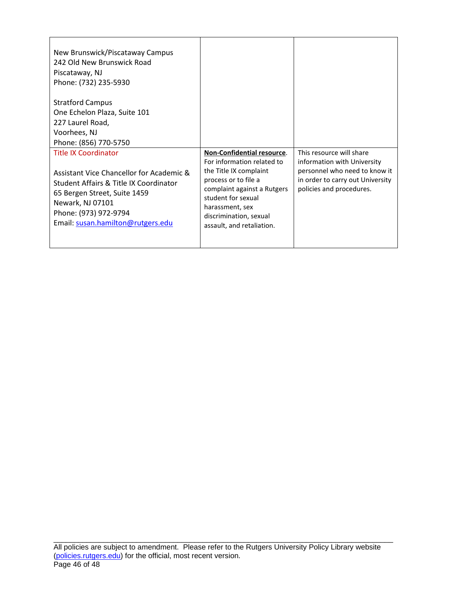| New Brunswick/Piscataway Campus<br>242 Old New Brunswick Road<br>Piscataway, NJ<br>Phone: (732) 235-5930                                                                                                                            |                                                                                                                                                                                                                                           |                                                                                                                                                          |
|-------------------------------------------------------------------------------------------------------------------------------------------------------------------------------------------------------------------------------------|-------------------------------------------------------------------------------------------------------------------------------------------------------------------------------------------------------------------------------------------|----------------------------------------------------------------------------------------------------------------------------------------------------------|
| <b>Stratford Campus</b><br>One Echelon Plaza, Suite 101<br>227 Laurel Road,<br>Voorhees, NJ<br>Phone: (856) 770-5750                                                                                                                |                                                                                                                                                                                                                                           |                                                                                                                                                          |
| <b>Title IX Coordinator</b><br>Assistant Vice Chancellor for Academic &<br>Student Affairs & Title IX Coordinator<br>65 Bergen Street, Suite 1459<br>Newark, NJ 07101<br>Phone: (973) 972-9794<br>Email: susan.hamilton@rutgers.edu | Non-Confidential resource.<br>For information related to<br>the Title IX complaint<br>process or to file a<br>complaint against a Rutgers<br>student for sexual<br>harassment, sex<br>discrimination, sexual<br>assault, and retaliation. | This resource will share<br>information with University<br>personnel who need to know it<br>in order to carry out University<br>policies and procedures. |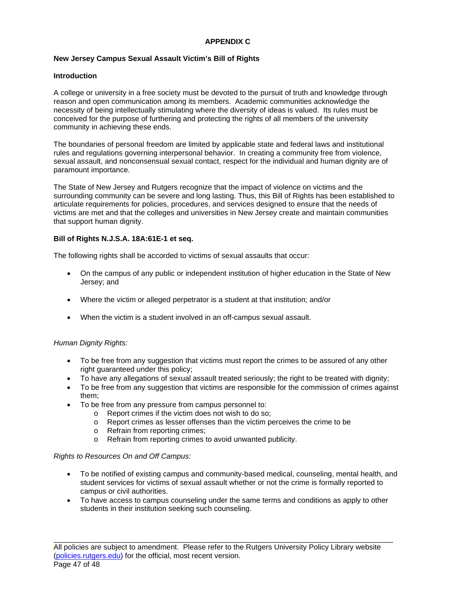# **APPENDIX C**

# **New Jersey Campus Sexual Assault Victim's Bill of Rights**

# **Introduction**

A college or university in a free society must be devoted to the pursuit of truth and knowledge through reason and open communication among its members. Academic communities acknowledge the necessity of being intellectually stimulating where the diversity of ideas is valued. Its rules must be conceived for the purpose of furthering and protecting the rights of all members of the university community in achieving these ends.

The boundaries of personal freedom are limited by applicable state and federal laws and institutional rules and regulations governing interpersonal behavior. In creating a community free from violence, sexual assault, and nonconsensual sexual contact, respect for the individual and human dignity are of paramount importance.

The State of New Jersey and Rutgers recognize that the impact of violence on victims and the surrounding community can be severe and long lasting. Thus, this Bill of Rights has been established to articulate requirements for policies, procedures, and services designed to ensure that the needs of victims are met and that the colleges and universities in New Jersey create and maintain communities that support human dignity.

# **Bill of Rights N.J.S.A. 18A:61E-1 et seq.**

The following rights shall be accorded to victims of sexual assaults that occur:

- On the campus of any public or independent institution of higher education in the State of New Jersey; and
- Where the victim or alleged perpetrator is a student at that institution; and/or
- When the victim is a student involved in an off-campus sexual assault.

# *Human Dignity Rights:*

- To be free from any suggestion that victims must report the crimes to be assured of any other right guaranteed under this policy;
- To have any allegations of sexual assault treated seriously; the right to be treated with dignity;
- To be free from any suggestion that victims are responsible for the commission of crimes against them;
- To be free from any pressure from campus personnel to:
	- o Report crimes if the victim does not wish to do so;
		- o Report crimes as lesser offenses than the victim perceives the crime to be
		- o Refrain from reporting crimes;
		- o Refrain from reporting crimes to avoid unwanted publicity.

# *Rights to Resources On and Off Campus:*

- To be notified of existing campus and community-based medical, counseling, mental health, and student services for victims of sexual assault whether or not the crime is formally reported to campus or civil authorities.
- To have access to campus counseling under the same terms and conditions as apply to other students in their institution seeking such counseling.